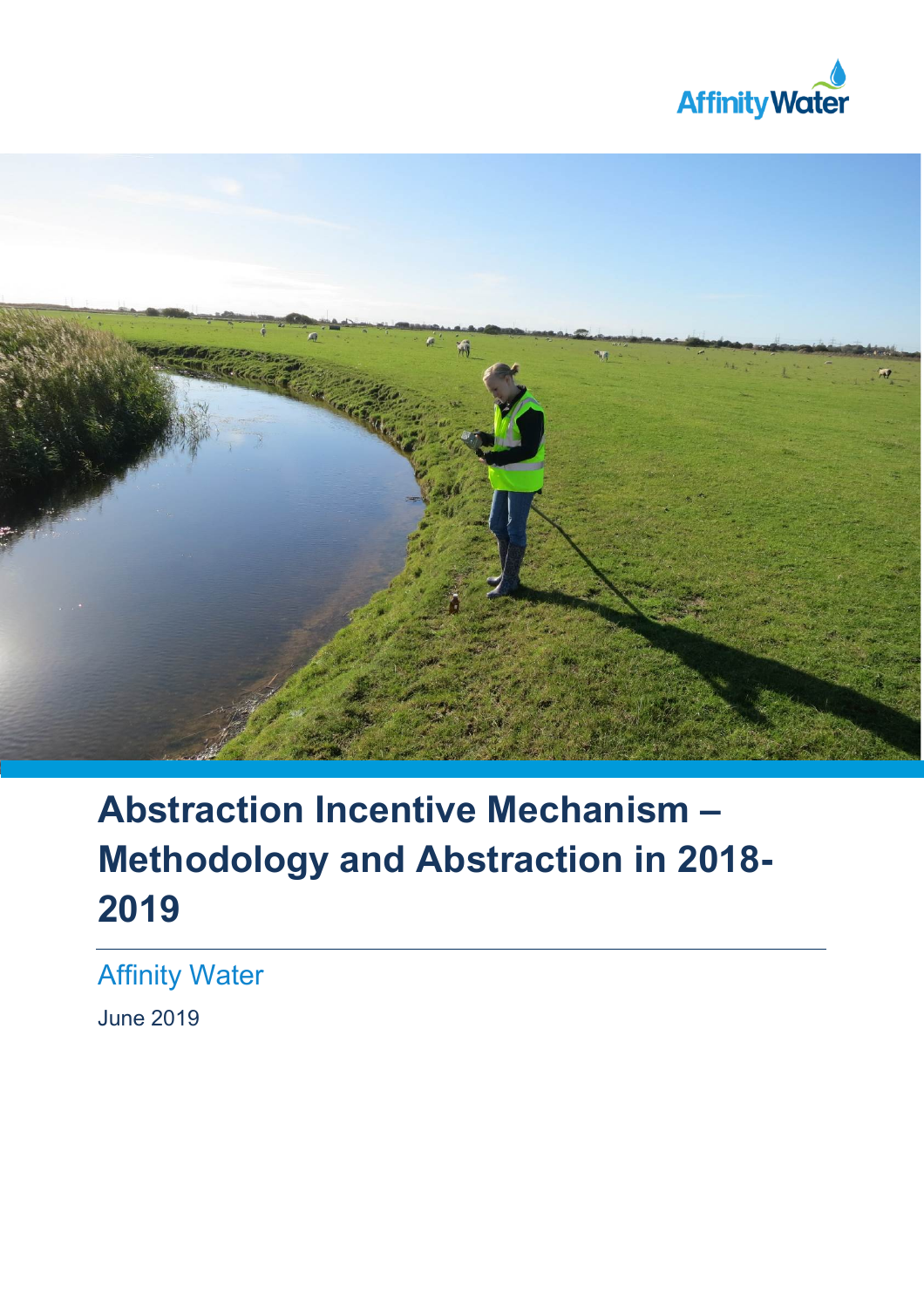



## **Abstraction Incentive Mechanism – Methodology and Abstraction in 2018- 2019**

Affinity Water

June 2019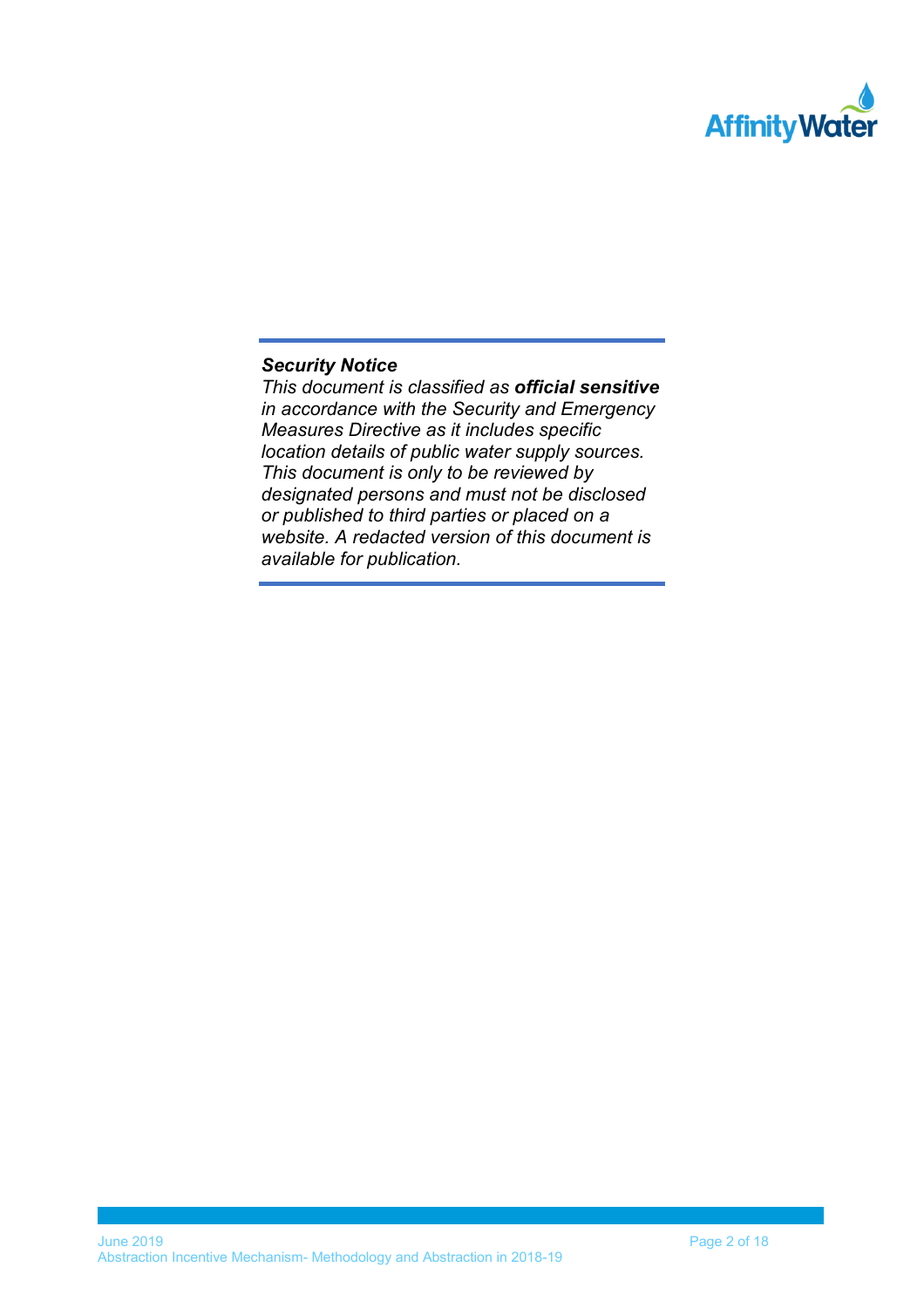

#### *Security Notice*

*This document is classified as official sensitive in accordance with the Security and Emergency Measures Directive as it includes specific location details of public water supply sources. This document is only to be reviewed by designated persons and must not be disclosed or published to third parties or placed on a website. A redacted version of this document is available for publication.*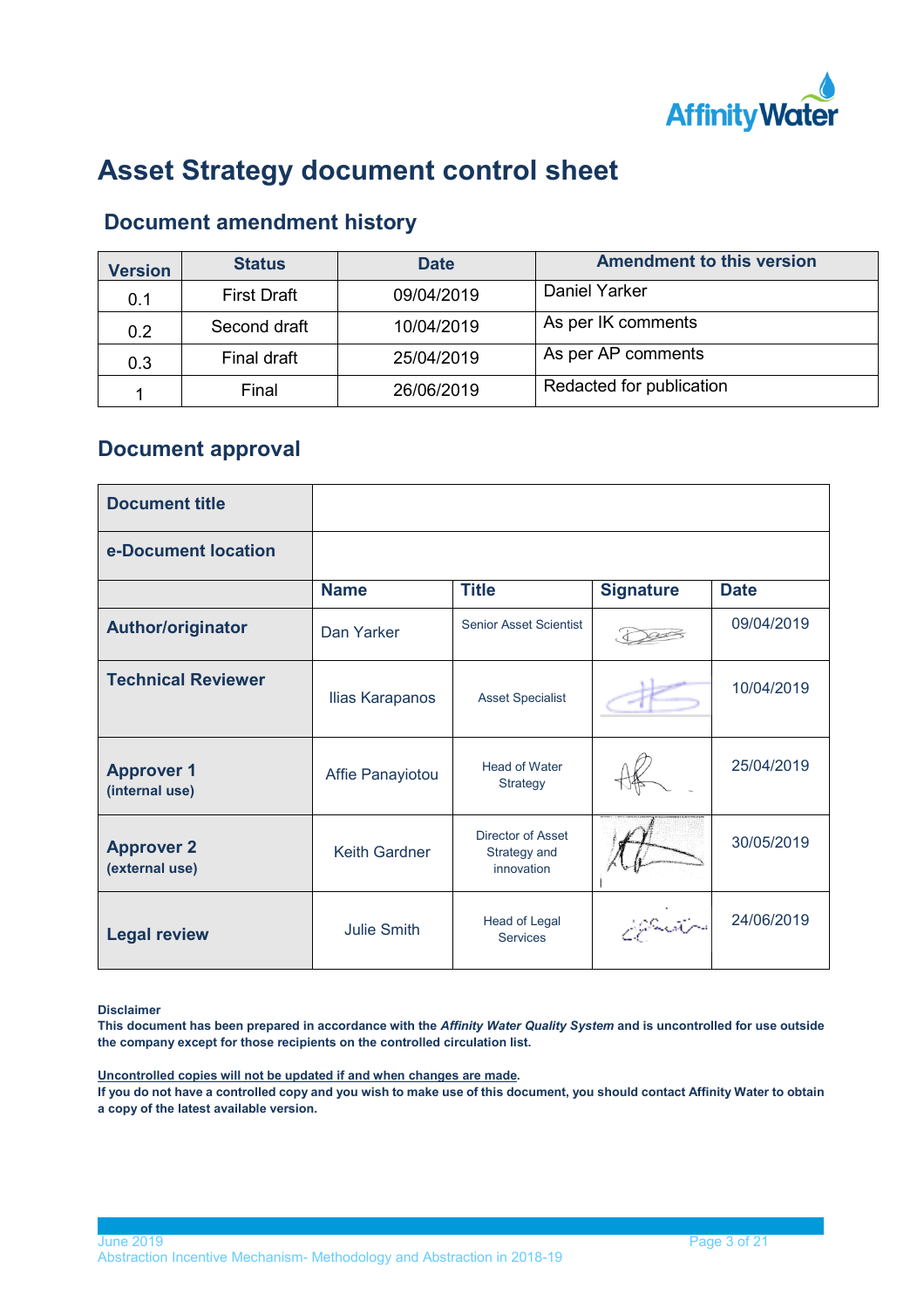

### **Asset Strategy document control sheet**

#### **Document amendment history**

| <b>Version</b> | <b>Status</b>      | <b>Date</b> | <b>Amendment to this version</b> |
|----------------|--------------------|-------------|----------------------------------|
| 0.1            | <b>First Draft</b> | 09/04/2019  | Daniel Yarker                    |
| 0.2            | Second draft       | 10/04/2019  | As per IK comments               |
| 0.3            | Final draft        | 25/04/2019  | As per AP comments               |
|                | Final              | 26/06/2019  | Redacted for publication         |

#### **Document approval**

| <b>Document title</b>               |                      |                                                 |                  |             |
|-------------------------------------|----------------------|-------------------------------------------------|------------------|-------------|
| e-Document location                 |                      |                                                 |                  |             |
|                                     | <b>Name</b>          | <b>Title</b>                                    | <b>Signature</b> | <b>Date</b> |
| Author/originator                   | Dan Yarker           | <b>Senior Asset Scientist</b>                   |                  | 09/04/2019  |
| <b>Technical Reviewer</b>           | Ilias Karapanos      | <b>Asset Specialist</b>                         |                  | 10/04/2019  |
| <b>Approver 1</b><br>(internal use) | Affie Panayiotou     | Head of Water<br>Strategy                       |                  | 25/04/2019  |
| <b>Approver 2</b><br>(external use) | <b>Keith Gardner</b> | Director of Asset<br>Strategy and<br>innovation |                  | 30/05/2019  |
| <b>Legal review</b>                 | <b>Julie Smith</b>   | Head of Legal<br><b>Services</b>                | diffusitirs      | 24/06/2019  |

#### **Disclaimer**

**This document has been prepared in accordance with the** *Affinity Water Quality System* **and is uncontrolled for use outside the company except for those recipients on the controlled circulation list.** 

**Uncontrolled copies will not be updated if and when changes are made.**

**If you do not have a controlled copy and you wish to make use of this document, you should contact Affinity Water to obtain a copy of the latest available version.**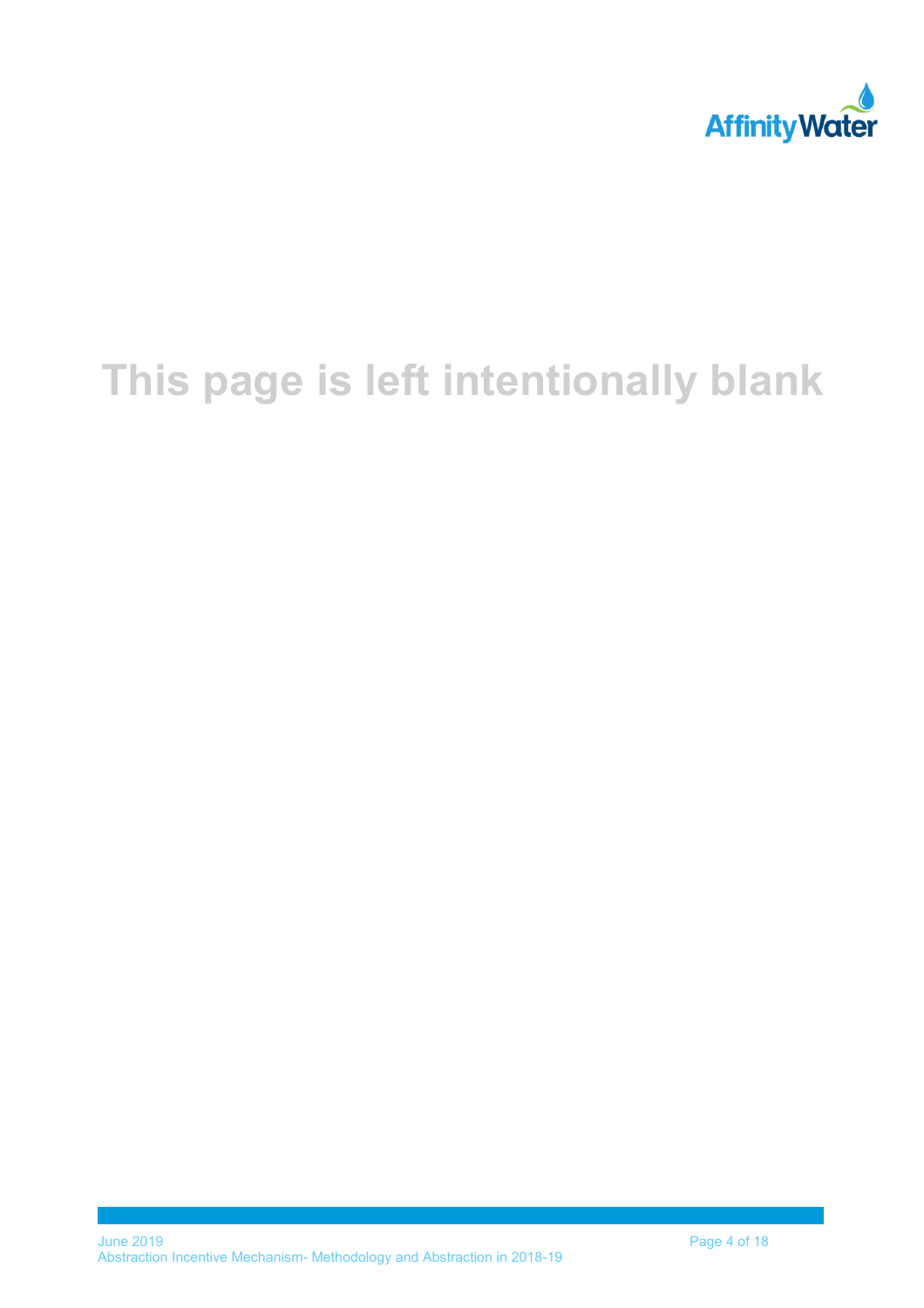

# **This page is left intentionally blank**

June 2019 **Page 4 of 18** Abstraction Incentive Mechanism- Methodology and Abstraction in 2018-19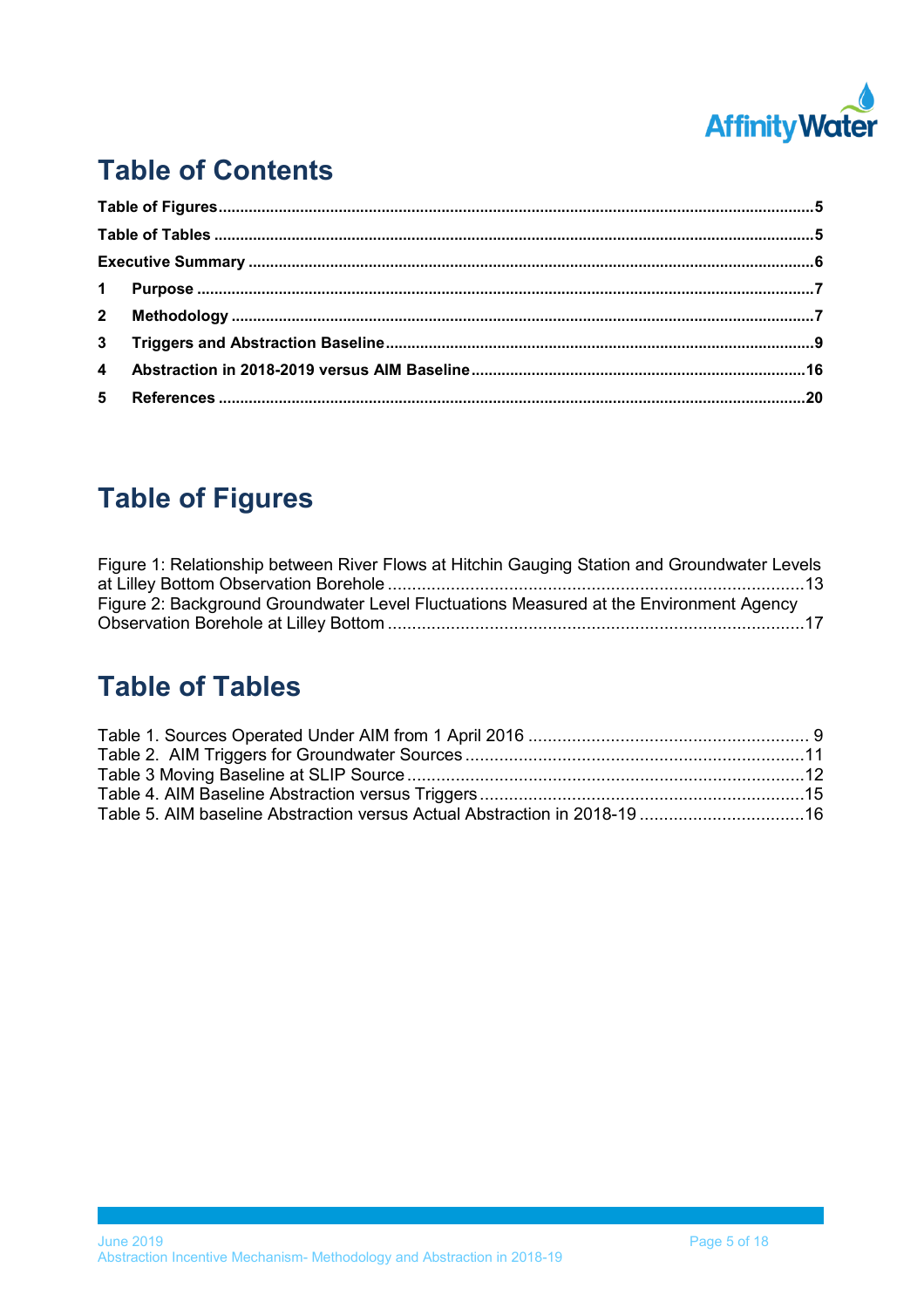

### **Table of Contents**

### <span id="page-4-0"></span>**Table of Figures**

| Figure 1: Relationship between River Flows at Hitchin Gauging Station and Groundwater Levels |  |
|----------------------------------------------------------------------------------------------|--|
|                                                                                              |  |
| Figure 2: Background Groundwater Level Fluctuations Measured at the Environment Agency       |  |
|                                                                                              |  |

### <span id="page-4-1"></span>**Table of Tables**

| Table 5. AIM baseline Abstraction versus Actual Abstraction in 2018-19 16 |  |
|---------------------------------------------------------------------------|--|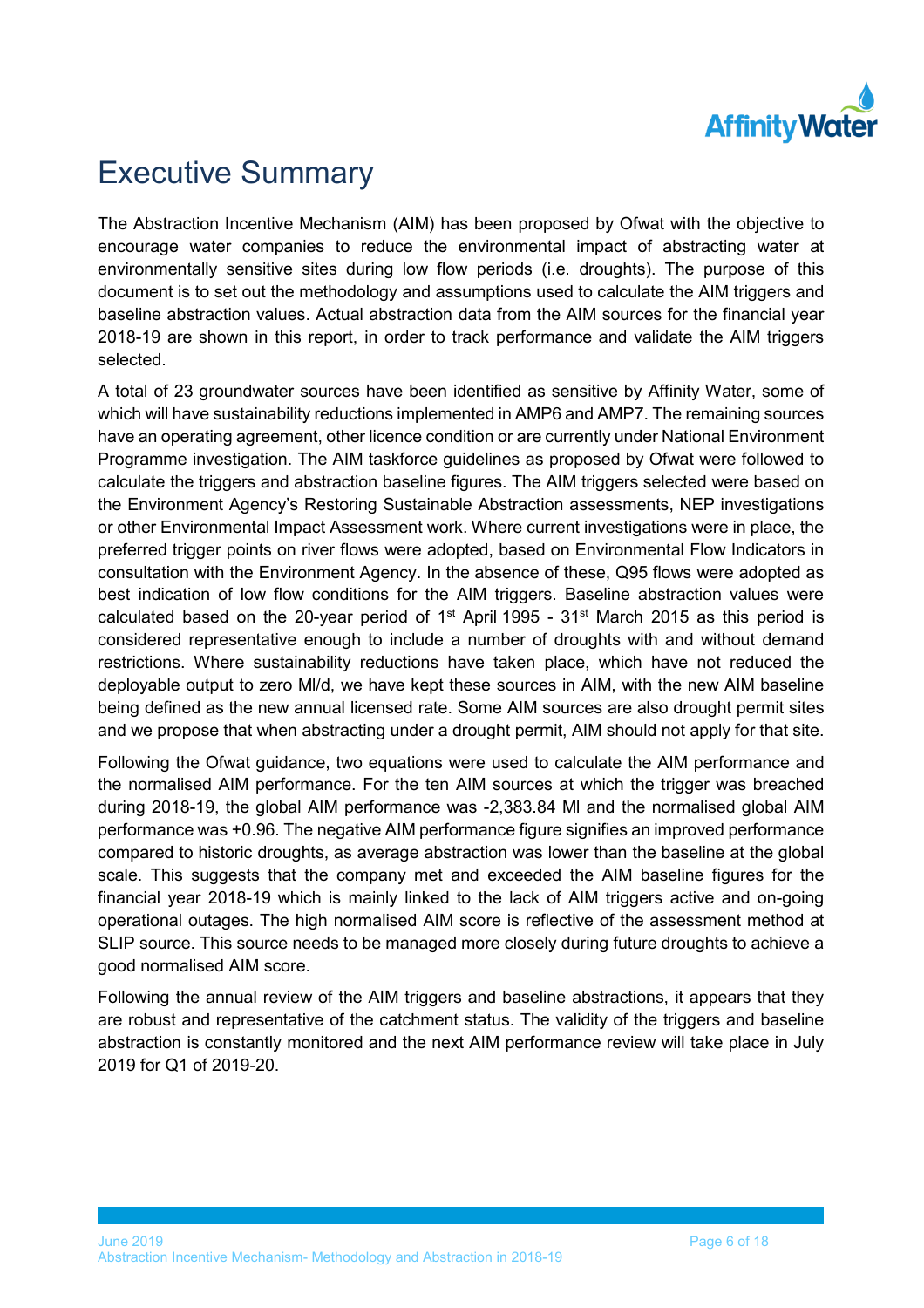

### <span id="page-5-0"></span>Executive Summary

The Abstraction Incentive Mechanism (AIM) has been proposed by Ofwat with the objective to encourage water companies to reduce the environmental impact of abstracting water at environmentally sensitive sites during low flow periods (i.e. droughts). The purpose of this document is to set out the methodology and assumptions used to calculate the AIM triggers and baseline abstraction values. Actual abstraction data from the AIM sources for the financial year 2018-19 are shown in this report, in order to track performance and validate the AIM triggers selected.

A total of 23 groundwater sources have been identified as sensitive by Affinity Water, some of which will have sustainability reductions implemented in AMP6 and AMP7. The remaining sources have an operating agreement, other licence condition or are currently under National Environment Programme investigation. The AIM taskforce guidelines as proposed by Ofwat were followed to calculate the triggers and abstraction baseline figures. The AIM triggers selected were based on the Environment Agency's Restoring Sustainable Abstraction assessments, NEP investigations or other Environmental Impact Assessment work. Where current investigations were in place, the preferred trigger points on river flows were adopted, based on Environmental Flow Indicators in consultation with the Environment Agency. In the absence of these, Q95 flows were adopted as best indication of low flow conditions for the AIM triggers. Baseline abstraction values were calculated based on the 20-year period of  $1<sup>st</sup>$  April 1995 - 31<sup>st</sup> March 2015 as this period is considered representative enough to include a number of droughts with and without demand restrictions. Where sustainability reductions have taken place, which have not reduced the deployable output to zero Ml/d, we have kept these sources in AIM, with the new AIM baseline being defined as the new annual licensed rate. Some AIM sources are also drought permit sites and we propose that when abstracting under a drought permit, AIM should not apply for that site.

Following the Ofwat guidance, two equations were used to calculate the AIM performance and the normalised AIM performance. For the ten AIM sources at which the trigger was breached during 2018-19, the global AIM performance was -2,383.84 Ml and the normalised global AIM performance was +0.96. The negative AIM performance figure signifies an improved performance compared to historic droughts, as average abstraction was lower than the baseline at the global scale. This suggests that the company met and exceeded the AIM baseline figures for the financial year 2018-19 which is mainly linked to the lack of AIM triggers active and on-going operational outages. The high normalised AIM score is reflective of the assessment method at SLIP source. This source needs to be managed more closely during future droughts to achieve a good normalised AIM score.

Following the annual review of the AIM triggers and baseline abstractions, it appears that they are robust and representative of the catchment status. The validity of the triggers and baseline abstraction is constantly monitored and the next AIM performance review will take place in July 2019 for Q1 of 2019-20.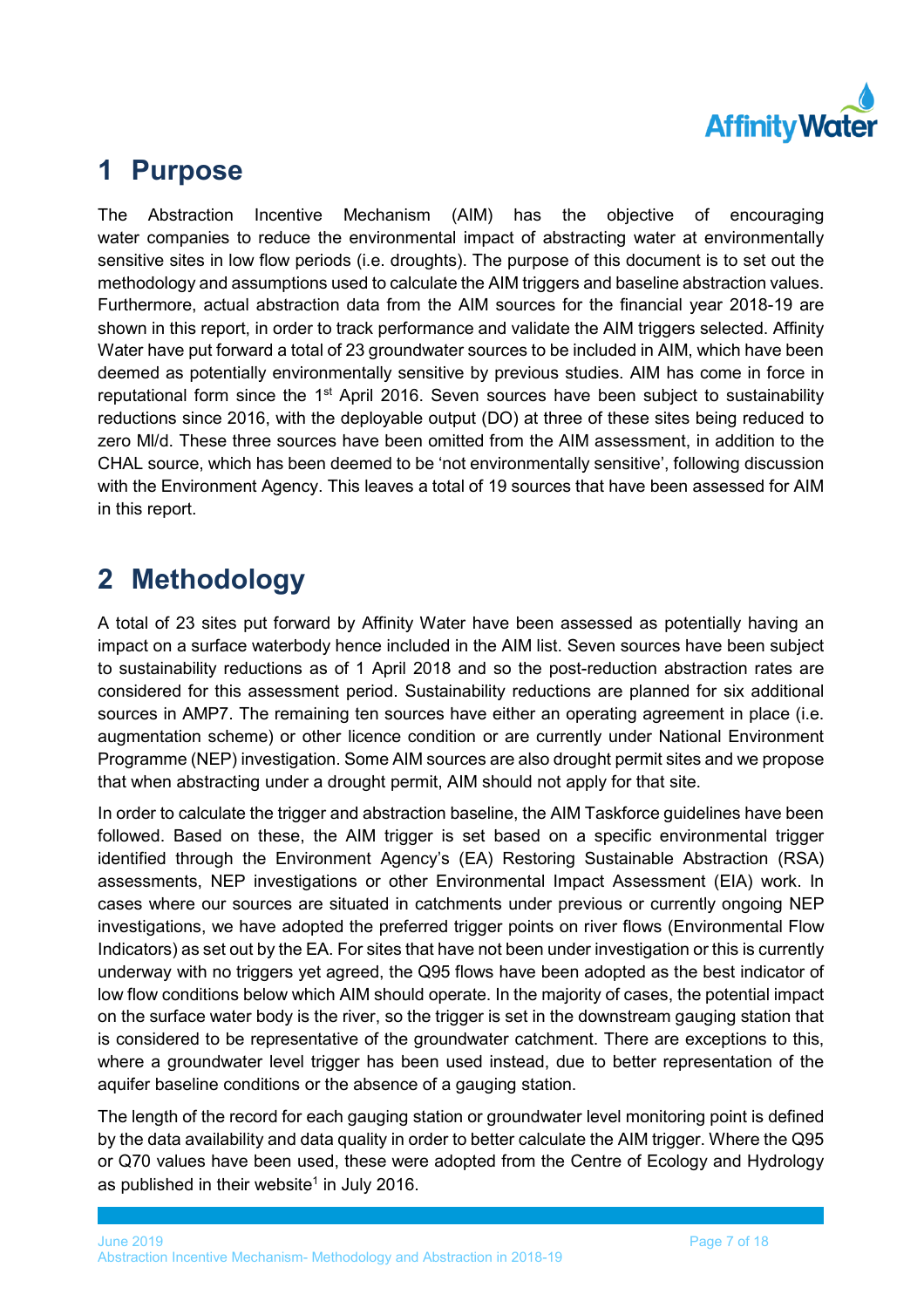

#### <span id="page-6-0"></span>**1 Purpose**

The Abstraction Incentive Mechanism (AIM) has the objective of encouraging water companies to reduce the environmental impact of abstracting water at environmentally sensitive sites in low flow periods (i.e. droughts). The purpose of this document is to set out the methodology and assumptions used to calculate the AIM triggers and baseline abstraction values. Furthermore, actual abstraction data from the AIM sources for the financial year 2018-19 are shown in this report, in order to track performance and validate the AIM triggers selected. Affinity Water have put forward a total of 23 groundwater sources to be included in AIM, which have been deemed as potentially environmentally sensitive by previous studies. AIM has come in force in reputational form since the 1<sup>st</sup> April 2016. Seven sources have been subject to sustainability reductions since 2016, with the deployable output (DO) at three of these sites being reduced to zero Ml/d. These three sources have been omitted from the AIM assessment, in addition to the CHAL source, which has been deemed to be 'not environmentally sensitive', following discussion with the Environment Agency. This leaves a total of 19 sources that have been assessed for AIM in this report.

#### <span id="page-6-1"></span>**2 Methodology**

A total of 23 sites put forward by Affinity Water have been assessed as potentially having an impact on a surface waterbody hence included in the AIM list. Seven sources have been subject to sustainability reductions as of 1 April 2018 and so the post-reduction abstraction rates are considered for this assessment period. Sustainability reductions are planned for six additional sources in AMP7. The remaining ten sources have either an operating agreement in place (i.e. augmentation scheme) or other licence condition or are currently under National Environment Programme (NEP) investigation. Some AIM sources are also drought permit sites and we propose that when abstracting under a drought permit, AIM should not apply for that site.

In order to calculate the trigger and abstraction baseline, the AIM Taskforce guidelines have been followed. Based on these, the AIM trigger is set based on a specific environmental trigger identified through the Environment Agency's (EA) Restoring Sustainable Abstraction (RSA) assessments, NEP investigations or other Environmental Impact Assessment (EIA) work. In cases where our sources are situated in catchments under previous or currently ongoing NEP investigations, we have adopted the preferred trigger points on river flows (Environmental Flow Indicators) as set out by the EA. For sites that have not been under investigation or this is currently underway with no triggers yet agreed, the Q95 flows have been adopted as the best indicator of low flow conditions below which AIM should operate. In the majority of cases, the potential impact on the surface water body is the river, so the trigger is set in the downstream gauging station that is considered to be representative of the groundwater catchment. There are exceptions to this, where a groundwater level trigger has been used instead, due to better representation of the aquifer baseline conditions or the absence of a gauging station.

The length of the record for each gauging station or groundwater level monitoring point is defined by the data availability and data quality in order to better calculate the AIM trigger. Where the Q95 or Q70 values have been used, these were adopted from the Centre of Ecology and Hydrology as published in their website<sup>1</sup> in July 2016.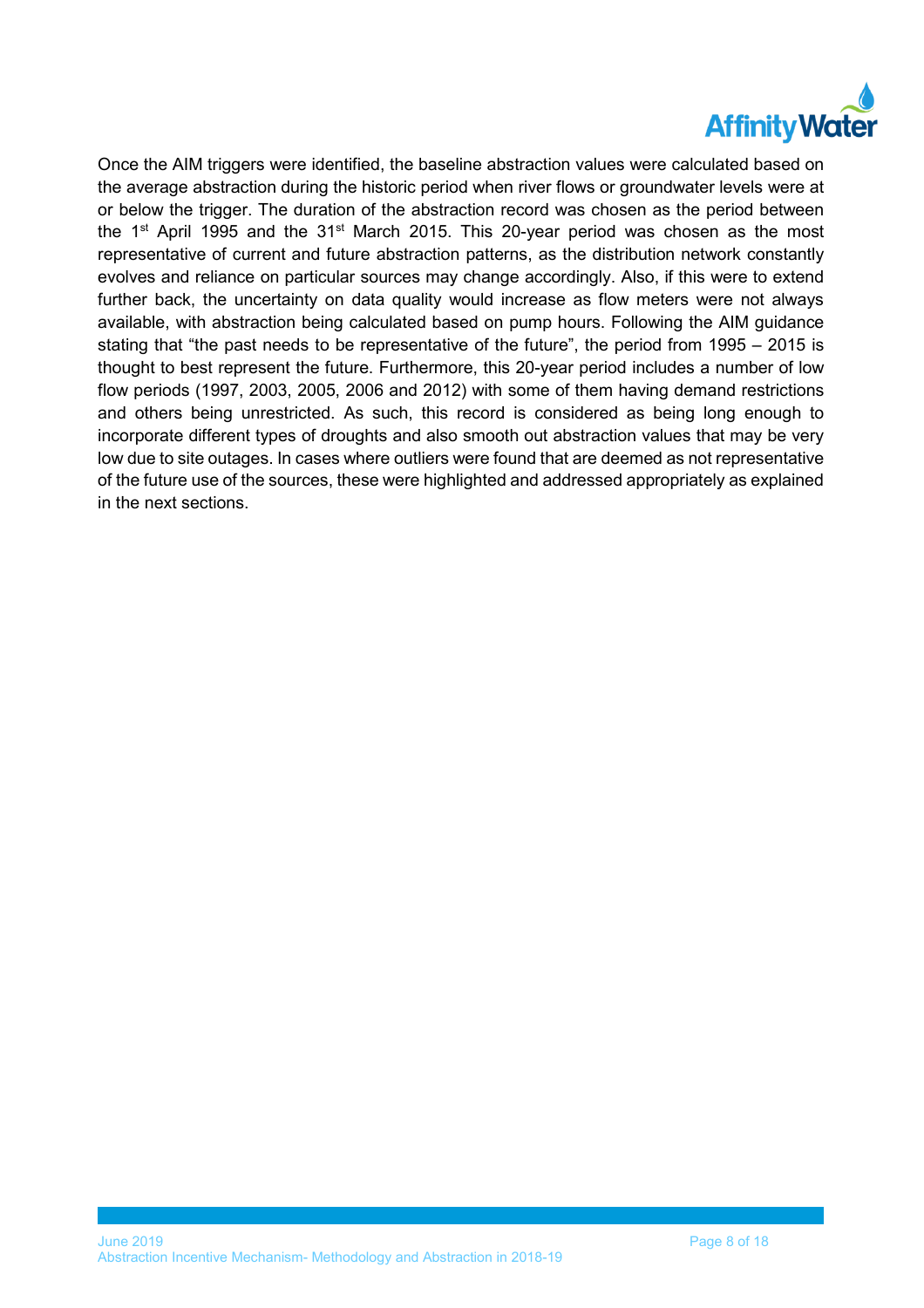

Once the AIM triggers were identified, the baseline abstraction values were calculated based on the average abstraction during the historic period when river flows or groundwater levels were at or below the trigger. The duration of the abstraction record was chosen as the period between the  $1<sup>st</sup>$  April 1995 and the  $31<sup>st</sup>$  March 2015. This 20-year period was chosen as the most representative of current and future abstraction patterns, as the distribution network constantly evolves and reliance on particular sources may change accordingly. Also, if this were to extend further back, the uncertainty on data quality would increase as flow meters were not always available, with abstraction being calculated based on pump hours. Following the AIM guidance stating that "the past needs to be representative of the future", the period from 1995 – 2015 is thought to best represent the future. Furthermore, this 20-year period includes a number of low flow periods (1997, 2003, 2005, 2006 and 2012) with some of them having demand restrictions and others being unrestricted. As such, this record is considered as being long enough to incorporate different types of droughts and also smooth out abstraction values that may be very low due to site outages. In cases where outliers were found that are deemed as not representative of the future use of the sources, these were highlighted and addressed appropriately as explained in the next sections.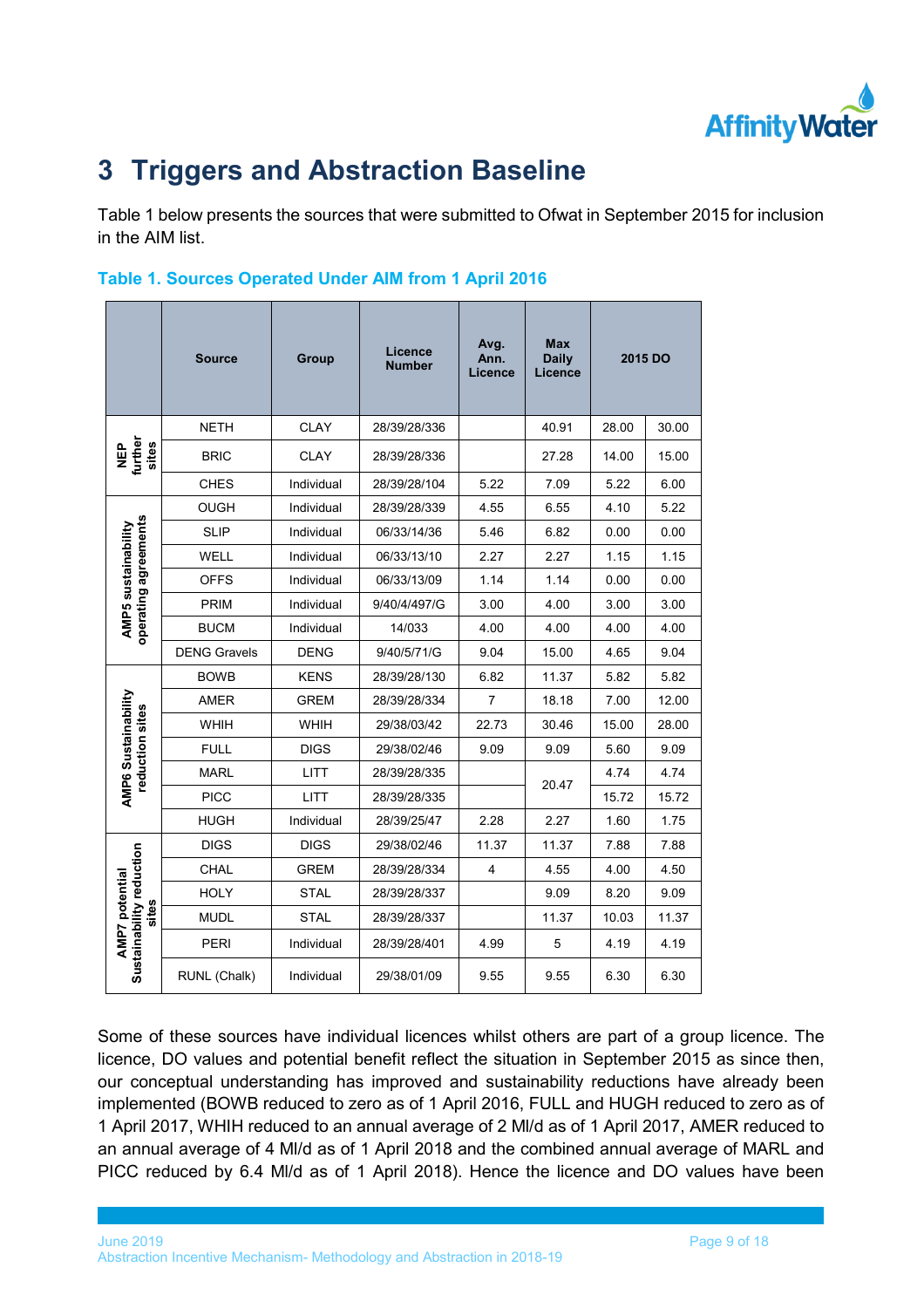

### <span id="page-8-0"></span>**3 Triggers and Abstraction Baseline**

[Table 1](#page-8-1) below presents the sources that were submitted to Ofwat in September 2015 for inclusion in the AIM list.

|                                            | <b>Source</b>       | Group       | Licence<br><b>Number</b> | Avg.<br>Ann.<br>Licence | Max<br><b>Daily</b><br>Licence |       | 2015 DO |  |
|--------------------------------------------|---------------------|-------------|--------------------------|-------------------------|--------------------------------|-------|---------|--|
|                                            | <b>NETH</b>         | <b>CLAY</b> | 28/39/28/336             |                         | 40.91                          | 28.00 | 30.00   |  |
| NEP<br>further<br>sites                    | <b>BRIC</b>         | <b>CLAY</b> | 28/39/28/336             |                         | 27.28                          | 14.00 | 15.00   |  |
|                                            | <b>CHES</b>         | Individual  | 28/39/28/104             | 5.22                    | 7.09                           | 5.22  | 6.00    |  |
|                                            | OUGH                | Individual  | 28/39/28/339             | 4.55                    | 6.55                           | 4.10  | 5.22    |  |
|                                            | <b>SLIP</b>         | Individual  | 06/33/14/36              | 5.46                    | 6.82                           | 0.00  | 0.00    |  |
| AMP5 sustainability                        | WELL                | Individual  | 06/33/13/10              | 2.27                    | 2.27                           | 1.15  | 1.15    |  |
|                                            | <b>OFFS</b>         | Individual  | 06/33/13/09              | 1.14                    | 1.14                           | 0.00  | 0.00    |  |
|                                            | <b>PRIM</b>         | Individual  | 9/40/4/497/G             | 3.00                    | 4.00                           | 3.00  | 3.00    |  |
| operating agreements                       | <b>BUCM</b>         | Individual  | 14/033                   | 4.00                    | 4.00                           | 4.00  | 4.00    |  |
|                                            | <b>DENG Gravels</b> | <b>DENG</b> | 9/40/5/71/G              | 9.04                    | 15.00                          | 4.65  | 9.04    |  |
|                                            | <b>BOWB</b>         | <b>KENS</b> | 28/39/28/130             | 6.82                    | 11.37                          | 5.82  | 5.82    |  |
| AMP6 Sustainability<br>reduction sites     | AMER                | GREM        | 28/39/28/334             | 7                       | 18.18                          | 7.00  | 12.00   |  |
|                                            | WHIH                | <b>WHIH</b> | 29/38/03/42              | 22.73                   | 30.46                          | 15.00 | 28.00   |  |
|                                            | <b>FULL</b>         | <b>DIGS</b> | 29/38/02/46              | 9.09                    | 9.09                           | 5.60  | 9.09    |  |
|                                            | <b>MARL</b>         | LITT        | 28/39/28/335             |                         | 20.47                          | 4.74  | 4.74    |  |
|                                            | <b>PICC</b>         | LITT        | 28/39/28/335             |                         |                                | 15.72 | 15.72   |  |
|                                            | <b>HUGH</b>         | Individual  | 28/39/25/47              | 2.28                    | 2.27                           | 1.60  | 1.75    |  |
|                                            | <b>DIGS</b>         | <b>DIGS</b> | 29/38/02/46              | 11.37                   | 11.37                          | 7.88  | 7.88    |  |
|                                            | <b>CHAL</b>         | GREM        | 28/39/28/334             | 4                       | 4.55                           | 4.00  | 4.50    |  |
|                                            | <b>HOLY</b>         | STAL        | 28/39/28/337             |                         | 9.09                           | 8.20  | 9.09    |  |
| sites                                      | <b>MUDL</b>         | <b>STAL</b> | 28/39/28/337             |                         | 11.37                          | 10.03 | 11.37   |  |
| Sustainability reduction<br>AMP7 potential | PERI                | Individual  | 28/39/28/401             | 4.99                    | 5                              | 4.19  | 4.19    |  |
|                                            | RUNL (Chalk)        | Individual  | 29/38/01/09              | 9.55                    | 9.55                           | 6.30  | 6.30    |  |

#### <span id="page-8-1"></span>**Table 1. Sources Operated Under AIM from 1 April 2016**

Some of these sources have individual licences whilst others are part of a group licence. The licence, DO values and potential benefit reflect the situation in September 2015 as since then, our conceptual understanding has improved and sustainability reductions have already been implemented (BOWB reduced to zero as of 1 April 2016, FULL and HUGH reduced to zero as of 1 April 2017, WHIH reduced to an annual average of 2 Ml/d as of 1 April 2017, AMER reduced to an annual average of 4 Ml/d as of 1 April 2018 and the combined annual average of MARL and PICC reduced by 6.4 Ml/d as of 1 April 2018). Hence the licence and DO values have been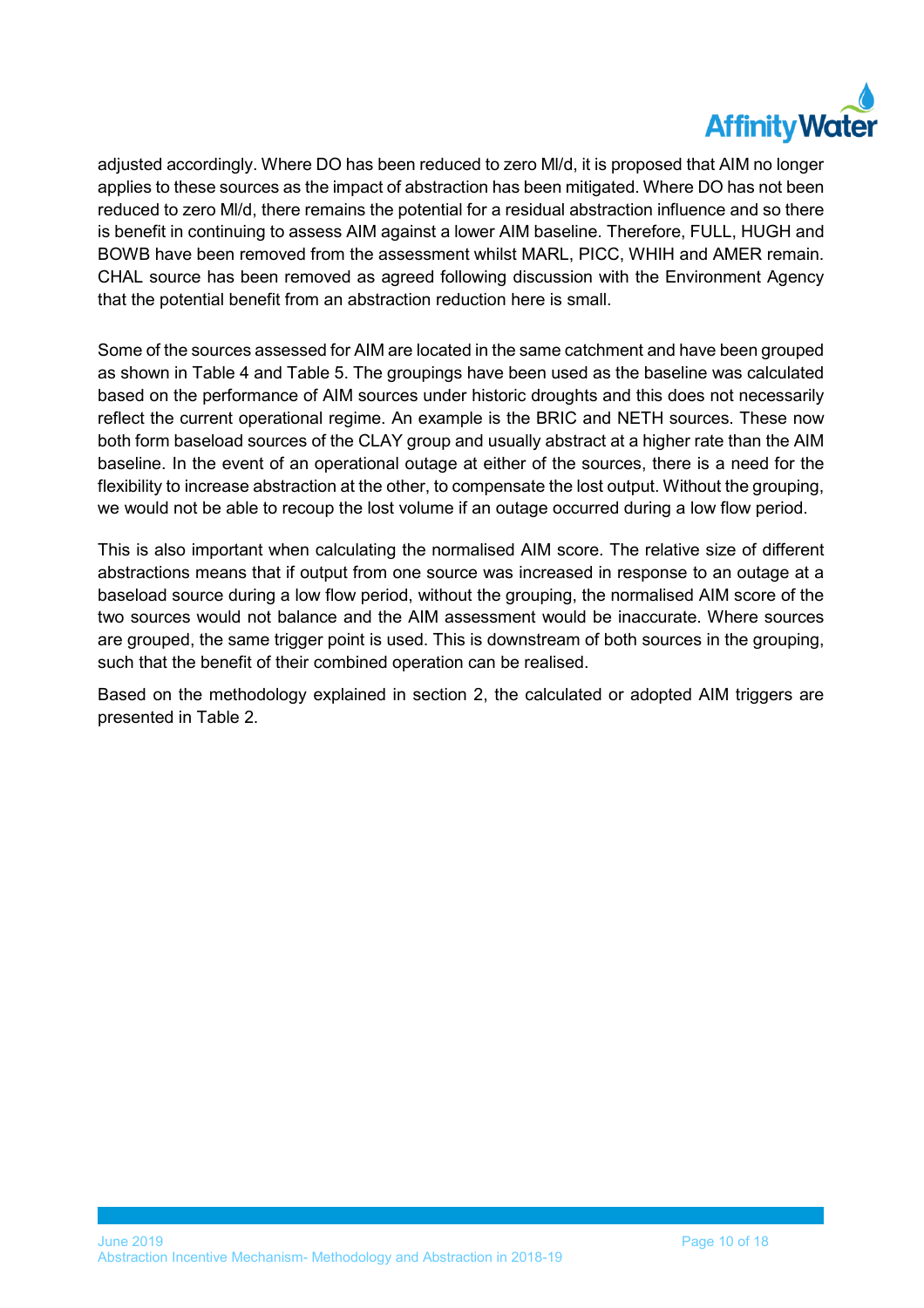

adjusted accordingly. Where DO has been reduced to zero Ml/d, it is proposed that AIM no longer applies to these sources as the impact of abstraction has been mitigated. Where DO has not been reduced to zero Ml/d, there remains the potential for a residual abstraction influence and so there is benefit in continuing to assess AIM against a lower AIM baseline. Therefore, FULL, HUGH and BOWB have been removed from the assessment whilst MARL, PICC, WHIH and AMER remain. CHAL source has been removed as agreed following discussion with the Environment Agency that the potential benefit from an abstraction reduction here is small.

Some of the sources assessed for AIM are located in the same catchment and have been grouped as shown in [Table 4](#page-14-0) and [Table 5.](#page-15-1) The groupings have been used as the baseline was calculated based on the performance of AIM sources under historic droughts and this does not necessarily reflect the current operational regime. An example is the BRIC and NETH sources. These now both form baseload sources of the CLAY group and usually abstract at a higher rate than the AIM baseline. In the event of an operational outage at either of the sources, there is a need for the flexibility to increase abstraction at the other, to compensate the lost output. Without the grouping, we would not be able to recoup the lost volume if an outage occurred during a low flow period.

This is also important when calculating the normalised AIM score. The relative size of different abstractions means that if output from one source was increased in response to an outage at a baseload source during a low flow period, without the grouping, the normalised AIM score of the two sources would not balance and the AIM assessment would be inaccurate. Where sources are grouped, the same trigger point is used. This is downstream of both sources in the grouping, such that the benefit of their combined operation can be realised.

Based on the methodology explained in section 2, the calculated or adopted AIM triggers are presented in [Table 2.](#page-10-0)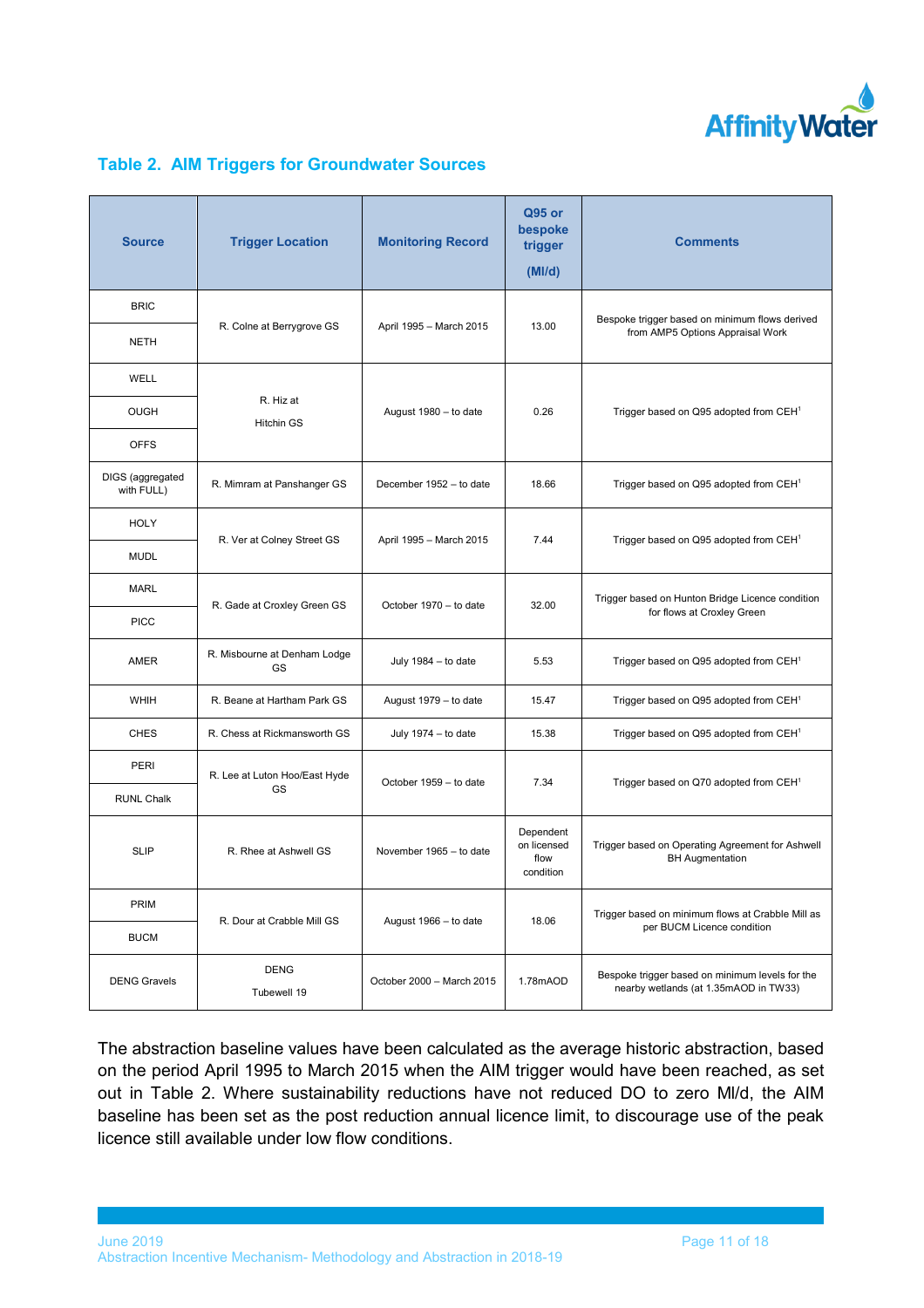

#### <span id="page-10-0"></span>**Table 2. AIM Triggers for Groundwater Sources**

| <b>Source</b>                  | <b>Trigger Location</b>            | <b>Monitoring Record</b>  | Q95 or<br>bespoke<br>trigger<br>(MI/d)        | <b>Comments</b>                                                                          |  |
|--------------------------------|------------------------------------|---------------------------|-----------------------------------------------|------------------------------------------------------------------------------------------|--|
| <b>BRIC</b>                    |                                    |                           |                                               | Bespoke trigger based on minimum flows derived                                           |  |
| <b>NETH</b>                    | R. Colne at Berrygrove GS          | April 1995 - March 2015   | 13.00                                         | from AMP5 Options Appraisal Work                                                         |  |
| <b>WELL</b>                    |                                    |                           |                                               |                                                                                          |  |
| <b>OUGH</b>                    | R. Hiz at<br><b>Hitchin GS</b>     | August 1980 - to date     | 0.26                                          | Trigger based on Q95 adopted from CEH <sup>1</sup>                                       |  |
| <b>OFFS</b>                    |                                    |                           |                                               |                                                                                          |  |
| DIGS (aggregated<br>with FULL) | R. Mimram at Panshanger GS         | December 1952 - to date   | 18.66                                         | Trigger based on Q95 adopted from CEH <sup>1</sup>                                       |  |
| <b>HOLY</b>                    | R. Ver at Colney Street GS         | April 1995 - March 2015   | 7.44                                          | Trigger based on Q95 adopted from CEH <sup>1</sup>                                       |  |
| <b>MUDL</b>                    |                                    |                           |                                               |                                                                                          |  |
| <b>MARL</b>                    | R. Gade at Croxley Green GS        | October 1970 - to date    | 32.00                                         | Trigger based on Hunton Bridge Licence condition                                         |  |
| <b>PICC</b>                    |                                    |                           |                                               | for flows at Croxley Green                                                               |  |
| <b>AMER</b>                    | R. Misbourne at Denham Lodge<br>GS | July 1984 - to date       | 5.53                                          | Trigger based on Q95 adopted from CEH <sup>1</sup>                                       |  |
| WHIH                           | R. Beane at Hartham Park GS        | August 1979 - to date     | 15.47                                         | Trigger based on Q95 adopted from CEH <sup>1</sup>                                       |  |
| <b>CHES</b>                    | R. Chess at Rickmansworth GS       | July 1974 - to date       | 15.38                                         | Trigger based on Q95 adopted from CEH <sup>1</sup>                                       |  |
| PERI                           | R. Lee at Luton Hoo/East Hyde      | October 1959 - to date    | 7.34                                          | Trigger based on Q70 adopted from CEH <sup>1</sup>                                       |  |
| <b>RUNL Chalk</b>              | GS                                 |                           |                                               |                                                                                          |  |
| <b>SLIP</b>                    | R. Rhee at Ashwell GS              | November 1965 - to date   | Dependent<br>on licensed<br>flow<br>condition | Trigger based on Operating Agreement for Ashwell<br><b>BH Augmentation</b>               |  |
| PRIM                           | R. Dour at Crabble Mill GS         | August 1966 - to date     | 18.06                                         | Trigger based on minimum flows at Crabble Mill as                                        |  |
| <b>BUCM</b>                    |                                    |                           |                                               | per BUCM Licence condition                                                               |  |
| <b>DENG Gravels</b>            | <b>DENG</b><br>Tubewell 19         | October 2000 - March 2015 | 1.78mAOD                                      | Bespoke trigger based on minimum levels for the<br>nearby wetlands (at 1.35mAOD in TW33) |  |

The abstraction baseline values have been calculated as the average historic abstraction, based on the period April 1995 to March 2015 when the AIM trigger would have been reached, as set out in [Table 2.](#page-10-0) Where sustainability reductions have not reduced DO to zero Ml/d, the AIM baseline has been set as the post reduction annual licence limit, to discourage use of the peak licence still available under low flow conditions.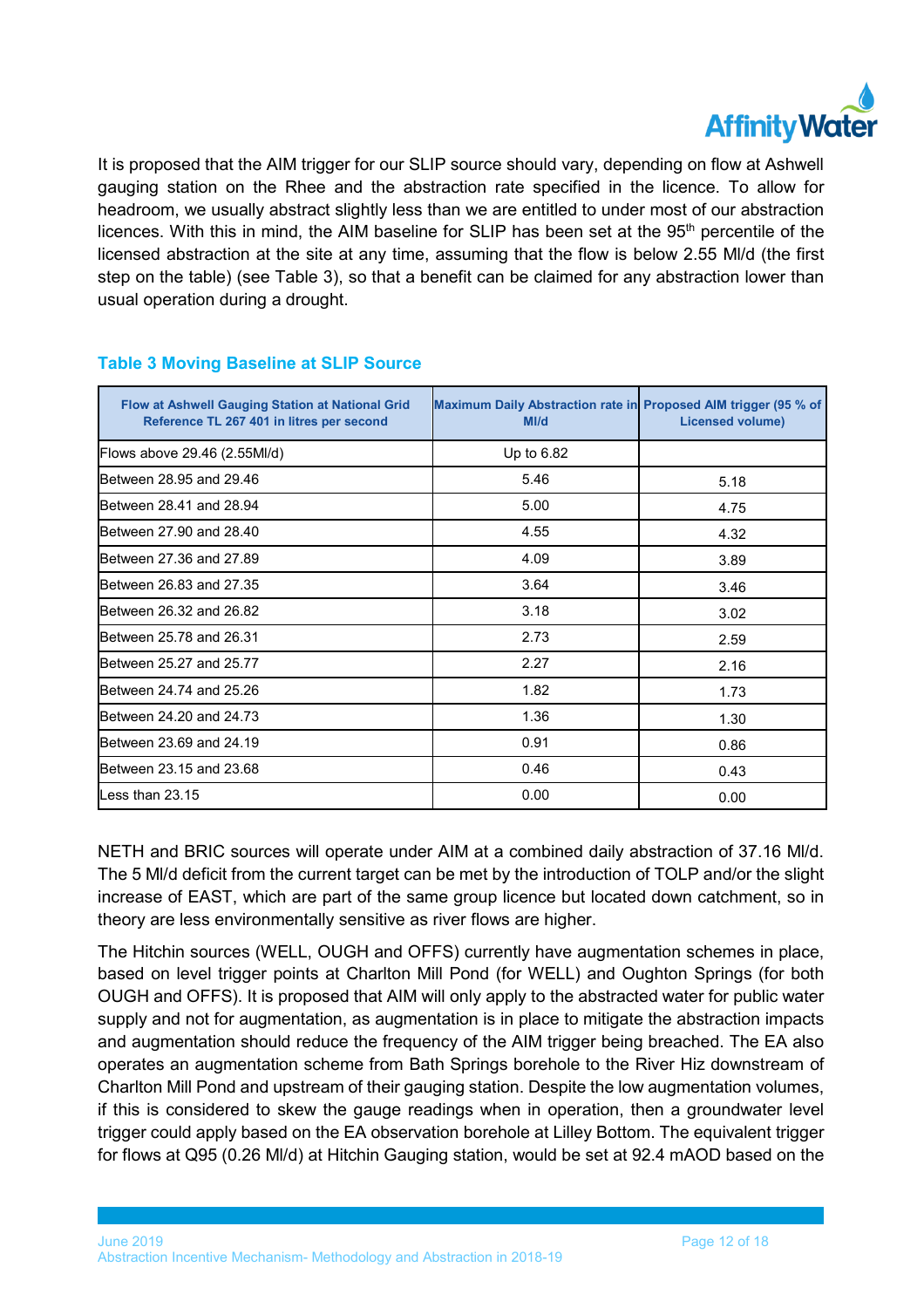

It is proposed that the AIM trigger for our SLIP source should vary, depending on flow at Ashwell gauging station on the Rhee and the abstraction rate specified in the licence. To allow for headroom, we usually abstract slightly less than we are entitled to under most of our abstraction licences. With this in mind, the AIM baseline for SLIP has been set at the  $95<sup>th</sup>$  percentile of the licensed abstraction at the site at any time, assuming that the flow is below 2.55 Ml/d (the first step on the table) (see [Table 3\)](#page-11-0), so that a benefit can be claimed for any abstraction lower than usual operation during a drought.

| <b>Flow at Ashwell Gauging Station at National Grid</b><br>Reference TL 267 401 in litres per second | Maximum Daily Abstraction rate in Proposed AIM trigger (95 % of<br>M/d | <b>Licensed volume)</b> |
|------------------------------------------------------------------------------------------------------|------------------------------------------------------------------------|-------------------------|
| Flows above 29.46 (2.55Ml/d)                                                                         | Up to 6.82                                                             |                         |
| Between 28.95 and 29.46                                                                              | 5.46                                                                   | 5.18                    |
| Between 28.41 and 28.94                                                                              | 5.00                                                                   | 4.75                    |
| Between 27,90 and 28,40                                                                              | 4.55                                                                   | 4.32                    |
| Between 27,36 and 27,89                                                                              | 4.09                                                                   | 3.89                    |
| Between 26.83 and 27.35                                                                              | 3.64                                                                   | 3.46                    |
| Between 26.32 and 26.82                                                                              | 3.18                                                                   | 3.02                    |
| Between 25.78 and 26.31                                                                              | 2.73                                                                   | 2.59                    |
| Between 25.27 and 25.77                                                                              | 2.27                                                                   | 2.16                    |
| Between 24.74 and 25.26                                                                              | 1.82                                                                   | 1.73                    |
| Between 24.20 and 24.73                                                                              | 1.36                                                                   | 1.30                    |
| Between 23.69 and 24.19                                                                              | 0.91                                                                   | 0.86                    |
| Between 23.15 and 23.68                                                                              | 0.46                                                                   | 0.43                    |
| Less than 23.15                                                                                      | 0.00                                                                   | 0.00                    |

#### <span id="page-11-0"></span>**Table 3 Moving Baseline at SLIP Source**

NETH and BRIC sources will operate under AIM at a combined daily abstraction of 37.16 Ml/d. The 5 Ml/d deficit from the current target can be met by the introduction of TOLP and/or the slight increase of EAST, which are part of the same group licence but located down catchment, so in theory are less environmentally sensitive as river flows are higher.

The Hitchin sources (WELL, OUGH and OFFS) currently have augmentation schemes in place, based on level trigger points at Charlton Mill Pond (for WELL) and Oughton Springs (for both OUGH and OFFS). It is proposed that AIM will only apply to the abstracted water for public water supply and not for augmentation, as augmentation is in place to mitigate the abstraction impacts and augmentation should reduce the frequency of the AIM trigger being breached. The EA also operates an augmentation scheme from Bath Springs borehole to the River Hiz downstream of Charlton Mill Pond and upstream of their gauging station. Despite the low augmentation volumes, if this is considered to skew the gauge readings when in operation, then a groundwater level trigger could apply based on the EA observation borehole at Lilley Bottom. The equivalent trigger for flows at Q95 (0.26 Ml/d) at Hitchin Gauging station, would be set at 92.4 mAOD based on the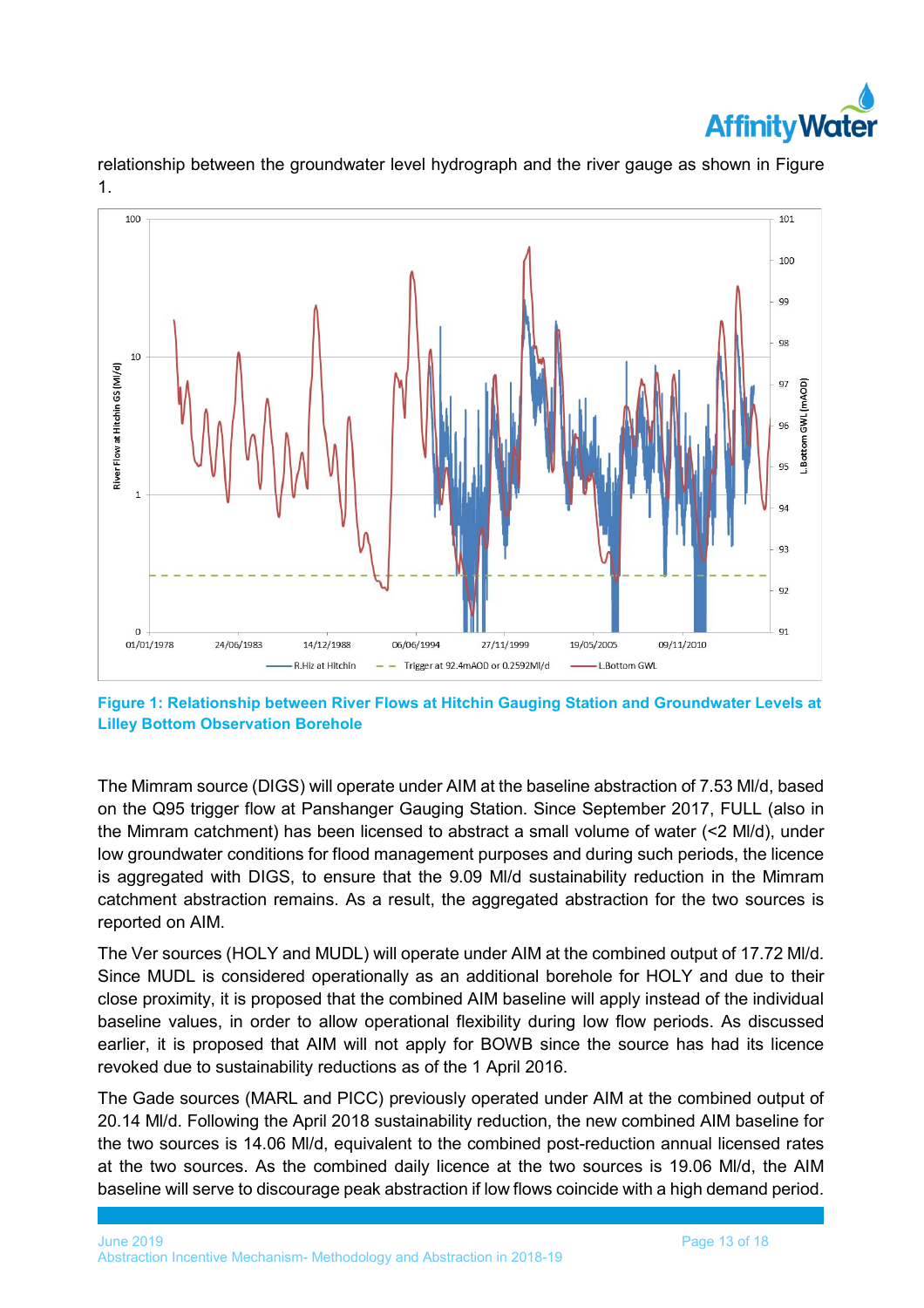

relationship between the groundwater level hydrograph and the river gauge as shown in [Figure](#page-12-0)  [1.](#page-12-0)



<span id="page-12-0"></span>**Figure 1: Relationship between River Flows at Hitchin Gauging Station and Groundwater Levels at Lilley Bottom Observation Borehole**

The Mimram source (DIGS) will operate under AIM at the baseline abstraction of 7.53 Ml/d, based on the Q95 trigger flow at Panshanger Gauging Station. Since September 2017, FULL (also in the Mimram catchment) has been licensed to abstract a small volume of water (<2 Ml/d), under low groundwater conditions for flood management purposes and during such periods, the licence is aggregated with DIGS, to ensure that the 9.09 Ml/d sustainability reduction in the Mimram catchment abstraction remains. As a result, the aggregated abstraction for the two sources is reported on AIM.

The Ver sources (HOLY and MUDL) will operate under AIM at the combined output of 17.72 Ml/d. Since MUDL is considered operationally as an additional borehole for HOLY and due to their close proximity, it is proposed that the combined AIM baseline will apply instead of the individual baseline values, in order to allow operational flexibility during low flow periods. As discussed earlier, it is proposed that AIM will not apply for BOWB since the source has had its licence revoked due to sustainability reductions as of the 1 April 2016.

The Gade sources (MARL and PICC) previously operated under AIM at the combined output of 20.14 Ml/d. Following the April 2018 sustainability reduction, the new combined AIM baseline for the two sources is 14.06 Ml/d, equivalent to the combined post-reduction annual licensed rates at the two sources. As the combined daily licence at the two sources is 19.06 Ml/d, the AIM baseline will serve to discourage peak abstraction if low flows coincide with a high demand period.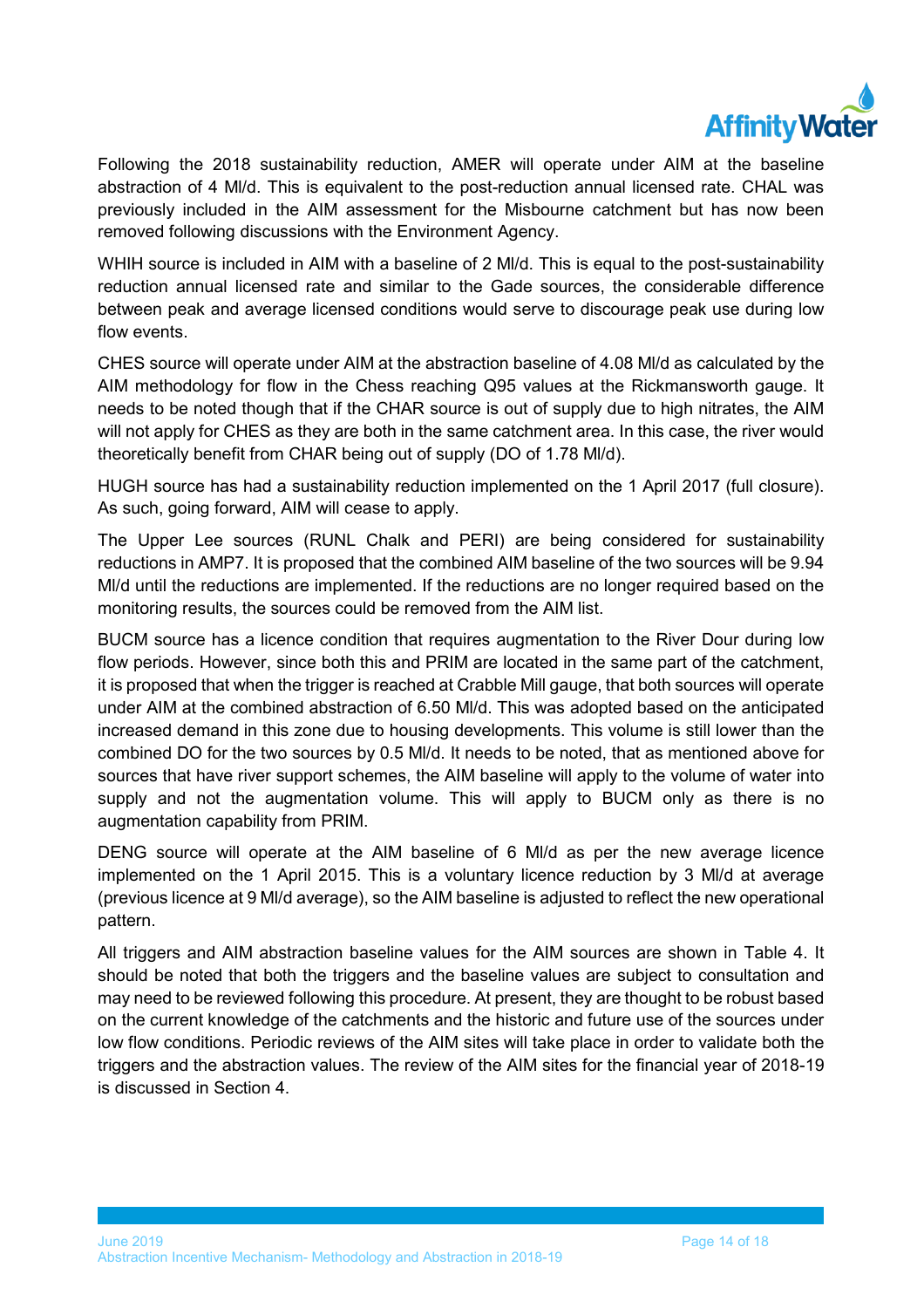

Following the 2018 sustainability reduction, AMER will operate under AIM at the baseline abstraction of 4 Ml/d. This is equivalent to the post-reduction annual licensed rate. CHAL was previously included in the AIM assessment for the Misbourne catchment but has now been removed following discussions with the Environment Agency.

WHIH source is included in AIM with a baseline of 2 MI/d. This is equal to the post-sustainability reduction annual licensed rate and similar to the Gade sources, the considerable difference between peak and average licensed conditions would serve to discourage peak use during low flow events.

CHES source will operate under AIM at the abstraction baseline of 4.08 Ml/d as calculated by the AIM methodology for flow in the Chess reaching Q95 values at the Rickmansworth gauge. It needs to be noted though that if the CHAR source is out of supply due to high nitrates, the AIM will not apply for CHES as they are both in the same catchment area. In this case, the river would theoretically benefit from CHAR being out of supply (DO of 1.78 Ml/d).

HUGH source has had a sustainability reduction implemented on the 1 April 2017 (full closure). As such, going forward, AIM will cease to apply.

The Upper Lee sources (RUNL Chalk and PERI) are being considered for sustainability reductions in AMP7. It is proposed that the combined AIM baseline of the two sources will be 9.94 Ml/d until the reductions are implemented. If the reductions are no longer required based on the monitoring results, the sources could be removed from the AIM list.

BUCM source has a licence condition that requires augmentation to the River Dour during low flow periods. However, since both this and PRIM are located in the same part of the catchment, it is proposed that when the trigger is reached at Crabble Mill gauge, that both sources will operate under AIM at the combined abstraction of 6.50 Ml/d. This was adopted based on the anticipated increased demand in this zone due to housing developments. This volume is still lower than the combined DO for the two sources by 0.5 Ml/d. It needs to be noted, that as mentioned above for sources that have river support schemes, the AIM baseline will apply to the volume of water into supply and not the augmentation volume. This will apply to BUCM only as there is no augmentation capability from PRIM.

DENG source will operate at the AIM baseline of 6 Ml/d as per the new average licence implemented on the 1 April 2015. This is a voluntary licence reduction by 3 Ml/d at average (previous licence at 9 Ml/d average), so the AIM baseline is adjusted to reflect the new operational pattern.

All triggers and AIM abstraction baseline values for the AIM sources are shown in [Table 4.](#page-14-0) It should be noted that both the triggers and the baseline values are subject to consultation and may need to be reviewed following this procedure. At present, they are thought to be robust based on the current knowledge of the catchments and the historic and future use of the sources under low flow conditions. Periodic reviews of the AIM sites will take place in order to validate both the triggers and the abstraction values. The review of the AIM sites for the financial year of 2018-19 is discussed in Section 4.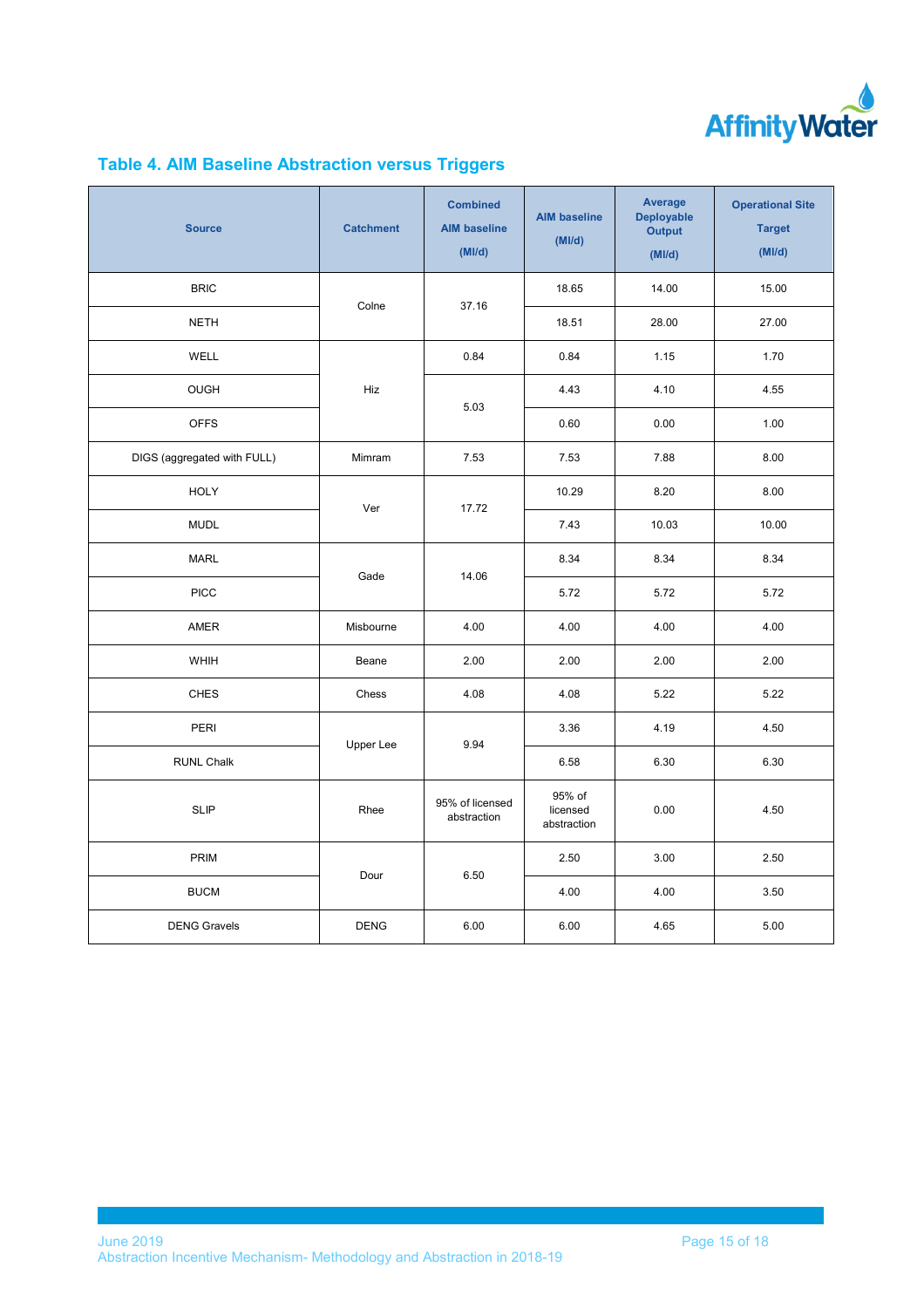

<span id="page-14-0"></span>

|  |  | <b>Table 4. AIM Baseline Abstraction versus Triggers</b> |  |  |
|--|--|----------------------------------------------------------|--|--|
|--|--|----------------------------------------------------------|--|--|

| <b>Source</b>               | <b>Catchment</b> | <b>Combined</b><br><b>AIM baseline</b><br>(MI/d) | <b>AIM baseline</b><br>(MI/d)     | Average<br><b>Deployable</b><br><b>Output</b><br>(MI/d) | <b>Operational Site</b><br><b>Target</b><br>(MI/d) |
|-----------------------------|------------------|--------------------------------------------------|-----------------------------------|---------------------------------------------------------|----------------------------------------------------|
| <b>BRIC</b>                 |                  |                                                  | 18.65                             | 14.00                                                   | 15.00                                              |
| <b>NETH</b>                 | Colne            | 37.16                                            | 18.51                             | 28.00                                                   | 27.00                                              |
| WELL                        |                  | 0.84                                             | 0.84                              | 1.15                                                    | 1.70                                               |
| <b>OUGH</b>                 | Hiz              |                                                  | 4.43                              | 4.10                                                    | 4.55                                               |
| <b>OFFS</b>                 |                  | 5.03                                             | 0.60                              | 0.00                                                    | 1.00                                               |
| DIGS (aggregated with FULL) | Mimram           | 7.53                                             | 7.53                              | 7.88                                                    | 8.00                                               |
| <b>HOLY</b>                 |                  | 17.72                                            | 10.29                             | 8.20                                                    | 8.00                                               |
| <b>MUDL</b>                 | Ver              |                                                  | 7.43                              | 10.03                                                   | 10.00                                              |
| <b>MARL</b>                 | Gade             |                                                  | 8.34                              | 8.34                                                    | 8.34                                               |
| <b>PICC</b>                 |                  | 14.06                                            | 5.72                              | 5.72                                                    | 5.72                                               |
| AMER                        | Misbourne        | 4.00                                             | 4.00                              | 4.00                                                    | 4.00                                               |
| WHIH                        | Beane            | 2.00                                             | 2.00                              | 2.00                                                    | 2.00                                               |
| <b>CHES</b>                 | Chess            | 4.08                                             | 4.08                              | 5.22                                                    | 5.22                                               |
| PERI                        | Upper Lee        | 9.94                                             | 3.36                              | 4.19                                                    | 4.50                                               |
| <b>RUNL Chalk</b>           |                  |                                                  | 6.58                              | 6.30                                                    | 6.30                                               |
| <b>SLIP</b>                 | Rhee             | 95% of licensed<br>abstraction                   | 95% of<br>licensed<br>abstraction | 0.00                                                    | 4.50                                               |
| PRIM                        |                  |                                                  | 2.50                              | 3.00                                                    | 2.50                                               |
| <b>BUCM</b>                 | Dour             | 6.50                                             | 4.00                              | 4.00                                                    | 3.50                                               |
| <b>DENG Gravels</b>         | <b>DENG</b>      | 6.00                                             | 6.00                              | 4.65                                                    | 5.00                                               |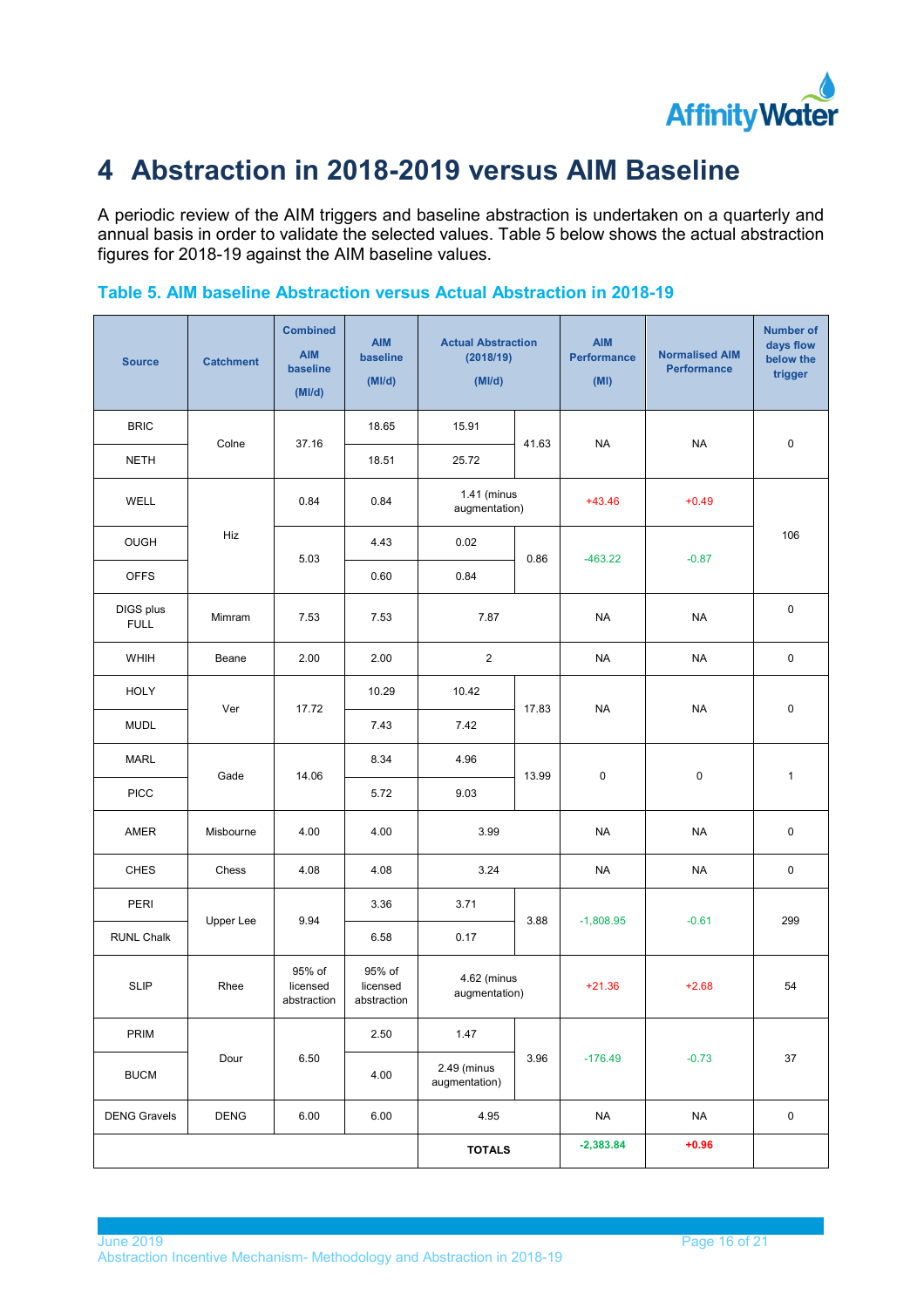

### <span id="page-15-0"></span>**4 Abstraction in 2018-2019 versus AIM Baseline**

A periodic review of the AIM triggers and baseline abstraction is undertaken on a quarterly and annual basis in order to validate the selected values. [Table 5](#page-15-1) below shows the actual abstraction figures for 2018-19 against the AIM baseline values.

| <b>Source</b>            | <b>Catchment</b> | <b>Combined</b><br><b>AIM</b><br>baseline<br>(MI/d) | <b>AIM</b><br>baseline<br>(MI/d)  | <b>Actual Abstraction</b><br>(2018/19)<br>(MI/d) |       | <b>AIM</b><br><b>Performance</b><br>(MI) | <b>Normalised AIM</b><br><b>Performance</b> | <b>Number of</b><br>days flow<br>below the<br>trigger |
|--------------------------|------------------|-----------------------------------------------------|-----------------------------------|--------------------------------------------------|-------|------------------------------------------|---------------------------------------------|-------------------------------------------------------|
| <b>BRIC</b>              | Colne            | 37.16                                               | 18.65                             | 15.91                                            | 41.63 | <b>NA</b>                                | <b>NA</b>                                   | $\pmb{0}$                                             |
| <b>NETH</b>              |                  |                                                     | 18.51                             | 25.72                                            |       |                                          |                                             |                                                       |
| WELL                     |                  | 0.84                                                | 0.84                              | 1.41 (minus<br>augmentation)                     |       | $+43.46$                                 | $+0.49$                                     |                                                       |
| <b>OUGH</b>              | Hiz              | 5.03                                                | 4.43                              | 0.02                                             | 0.86  | $-463.22$                                |                                             | 106                                                   |
| <b>OFFS</b>              |                  |                                                     | 0.60                              | 0.84                                             |       |                                          | $-0.87$                                     |                                                       |
| DIGS plus<br><b>FULL</b> | Mimram           | 7.53                                                | 7.53                              | 7.87                                             |       | <b>NA</b>                                | <b>NA</b>                                   | 0                                                     |
| <b>WHIH</b>              | Beane            | 2.00                                                | 2.00                              | 2                                                |       |                                          | <b>NA</b>                                   | $\mathbf 0$                                           |
| <b>HOLY</b>              | Ver              | 17.72                                               | 10.29                             | 10.42                                            | 17.83 | <b>NA</b>                                | <b>NA</b>                                   | $\pmb{0}$                                             |
| <b>MUDL</b>              |                  |                                                     | 7.43                              | 7.42                                             |       |                                          |                                             |                                                       |
| <b>MARL</b>              | Gade             | 14.06                                               | 8.34                              | 4.96                                             | 13.99 | $\pmb{0}$                                | $\pmb{0}$                                   | $\mathbf{1}$                                          |
| <b>PICC</b>              |                  |                                                     | 5.72                              | 9.03                                             |       |                                          |                                             |                                                       |
| AMER                     | Misbourne        | 4.00                                                | 4.00                              | 3.99                                             |       | <b>NA</b>                                | <b>NA</b>                                   | 0                                                     |
| <b>CHES</b>              | Chess            | 4.08                                                | 4.08                              | 3.24                                             |       | <b>NA</b>                                | <b>NA</b>                                   | $\mathbf 0$                                           |
| PERI                     | <b>Upper Lee</b> | 9.94                                                | 3.36                              | 3.71                                             | 3.88  | $-1,808.95$                              | $-0.61$                                     | 299                                                   |
| <b>RUNL Chalk</b>        |                  |                                                     | 6.58                              | 0.17                                             |       |                                          |                                             |                                                       |
| <b>SLIP</b>              | Rhee             | 95% of<br>licensed<br>abstraction                   | 95% of<br>licensed<br>abstraction | 4.62 (minus<br>augmentation)                     |       | $+21.36$                                 | $+2.68$                                     | 54                                                    |
| PRIM                     |                  |                                                     | 2.50                              | 1.47                                             |       |                                          |                                             |                                                       |
| <b>BUCM</b>              | Dour             | 6.50                                                | 4.00                              | 2.49 (minus<br>augmentation)                     | 3.96  | $-176.49$                                | $-0.73$                                     | 37                                                    |
| <b>DENG Gravels</b>      | <b>DENG</b>      | 6.00                                                | 6.00                              | 4.95                                             |       | $\sf NA$                                 | $\sf NA$                                    | $\pmb{0}$                                             |
|                          |                  |                                                     |                                   | <b>TOTALS</b>                                    |       | $-2,383.84$                              | $+0.96$                                     |                                                       |

#### <span id="page-15-1"></span>**Table 5. AIM baseline Abstraction versus Actual Abstraction in 2018-19**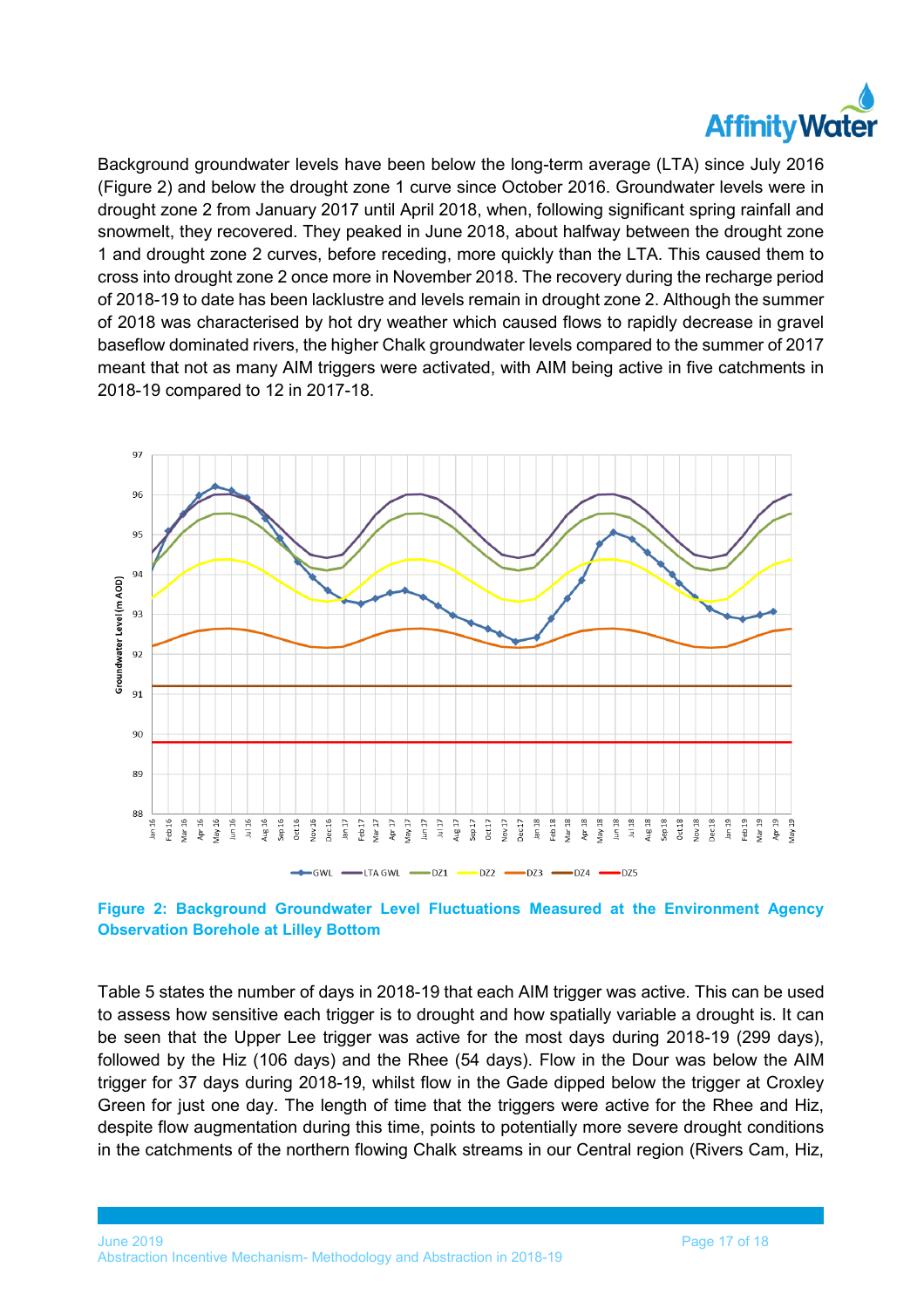

Background groundwater levels have been below the long-term average (LTA) since July 2016 [\(Figure 2\)](#page-16-0) and below the drought zone 1 curve since October 2016. Groundwater levels were in drought zone 2 from January 2017 until April 2018, when, following significant spring rainfall and snowmelt, they recovered. They peaked in June 2018, about halfway between the drought zone 1 and drought zone 2 curves, before receding, more quickly than the LTA. This caused them to cross into drought zone 2 once more in November 2018. The recovery during the recharge period of 2018-19 to date has been lacklustre and levels remain in drought zone 2. Although the summer of 2018 was characterised by hot dry weather which caused flows to rapidly decrease in gravel baseflow dominated rivers, the higher Chalk groundwater levels compared to the summer of 2017 meant that not as many AIM triggers were activated, with AIM being active in five catchments in 2018-19 compared to 12 in 2017-18.



<span id="page-16-0"></span>

[Table 5](#page-15-1) states the number of days in 2018-19 that each AIM trigger was active. This can be used to assess how sensitive each trigger is to drought and how spatially variable a drought is. It can be seen that the Upper Lee trigger was active for the most days during 2018-19 (299 days), followed by the Hiz (106 days) and the Rhee (54 days). Flow in the Dour was below the AIM trigger for 37 days during 2018-19, whilst flow in the Gade dipped below the trigger at Croxley Green for just one day. The length of time that the triggers were active for the Rhee and Hiz, despite flow augmentation during this time, points to potentially more severe drought conditions in the catchments of the northern flowing Chalk streams in our Central region (Rivers Cam, Hiz,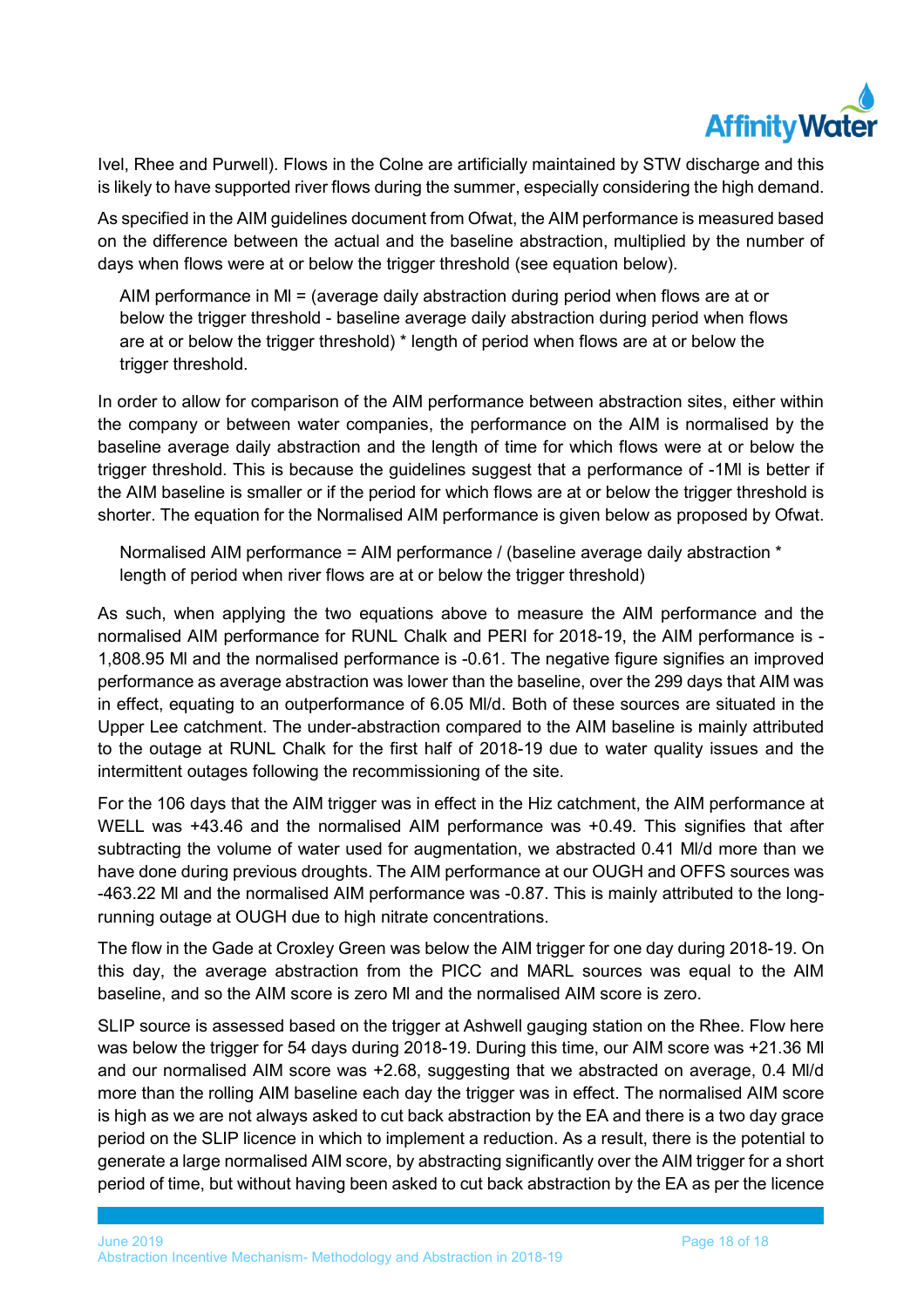

Ivel, Rhee and Purwell). Flows in the Colne are artificially maintained by STW discharge and this is likely to have supported river flows during the summer, especially considering the high demand.

As specified in the AIM guidelines document from Ofwat, the AIM performance is measured based on the difference between the actual and the baseline abstraction, multiplied by the number of days when flows were at or below the trigger threshold (see equation below).

AIM performance in Ml = (average daily abstraction during period when flows are at or below the trigger threshold - baseline average daily abstraction during period when flows are at or below the trigger threshold) \* length of period when flows are at or below the trigger threshold.

In order to allow for comparison of the AIM performance between abstraction sites, either within the company or between water companies, the performance on the AIM is normalised by the baseline average daily abstraction and the length of time for which flows were at or below the trigger threshold. This is because the guidelines suggest that a performance of -1Ml is better if the AIM baseline is smaller or if the period for which flows are at or below the trigger threshold is shorter. The equation for the Normalised AIM performance is given below as proposed by Ofwat.

Normalised AIM performance = AIM performance / (baseline average daily abstraction \* length of period when river flows are at or below the trigger threshold)

As such, when applying the two equations above to measure the AIM performance and the normalised AIM performance for RUNL Chalk and PERI for 2018-19, the AIM performance is - 1,808.95 Ml and the normalised performance is -0.61. The negative figure signifies an improved performance as average abstraction was lower than the baseline, over the 299 days that AIM was in effect, equating to an outperformance of 6.05 Ml/d. Both of these sources are situated in the Upper Lee catchment. The under-abstraction compared to the AIM baseline is mainly attributed to the outage at RUNL Chalk for the first half of 2018-19 due to water quality issues and the intermittent outages following the recommissioning of the site.

For the 106 days that the AIM trigger was in effect in the Hiz catchment, the AIM performance at WELL was +43.46 and the normalised AIM performance was +0.49. This signifies that after subtracting the volume of water used for augmentation, we abstracted 0.41 Ml/d more than we have done during previous droughts. The AIM performance at our OUGH and OFFS sources was -463.22 Ml and the normalised AIM performance was -0.87. This is mainly attributed to the longrunning outage at OUGH due to high nitrate concentrations.

The flow in the Gade at Croxley Green was below the AIM trigger for one day during 2018-19. On this day, the average abstraction from the PICC and MARL sources was equal to the AIM baseline, and so the AIM score is zero Ml and the normalised AIM score is zero.

SLIP source is assessed based on the trigger at Ashwell gauging station on the Rhee. Flow here was below the trigger for 54 days during 2018-19. During this time, our AIM score was +21.36 Ml and our normalised AIM score was +2.68, suggesting that we abstracted on average, 0.4 Ml/d more than the rolling AIM baseline each day the trigger was in effect. The normalised AIM score is high as we are not always asked to cut back abstraction by the EA and there is a two day grace period on the SLIP licence in which to implement a reduction. As a result, there is the potential to generate a large normalised AIM score, by abstracting significantly over the AIM trigger for a short period of time, but without having been asked to cut back abstraction by the EA as per the licence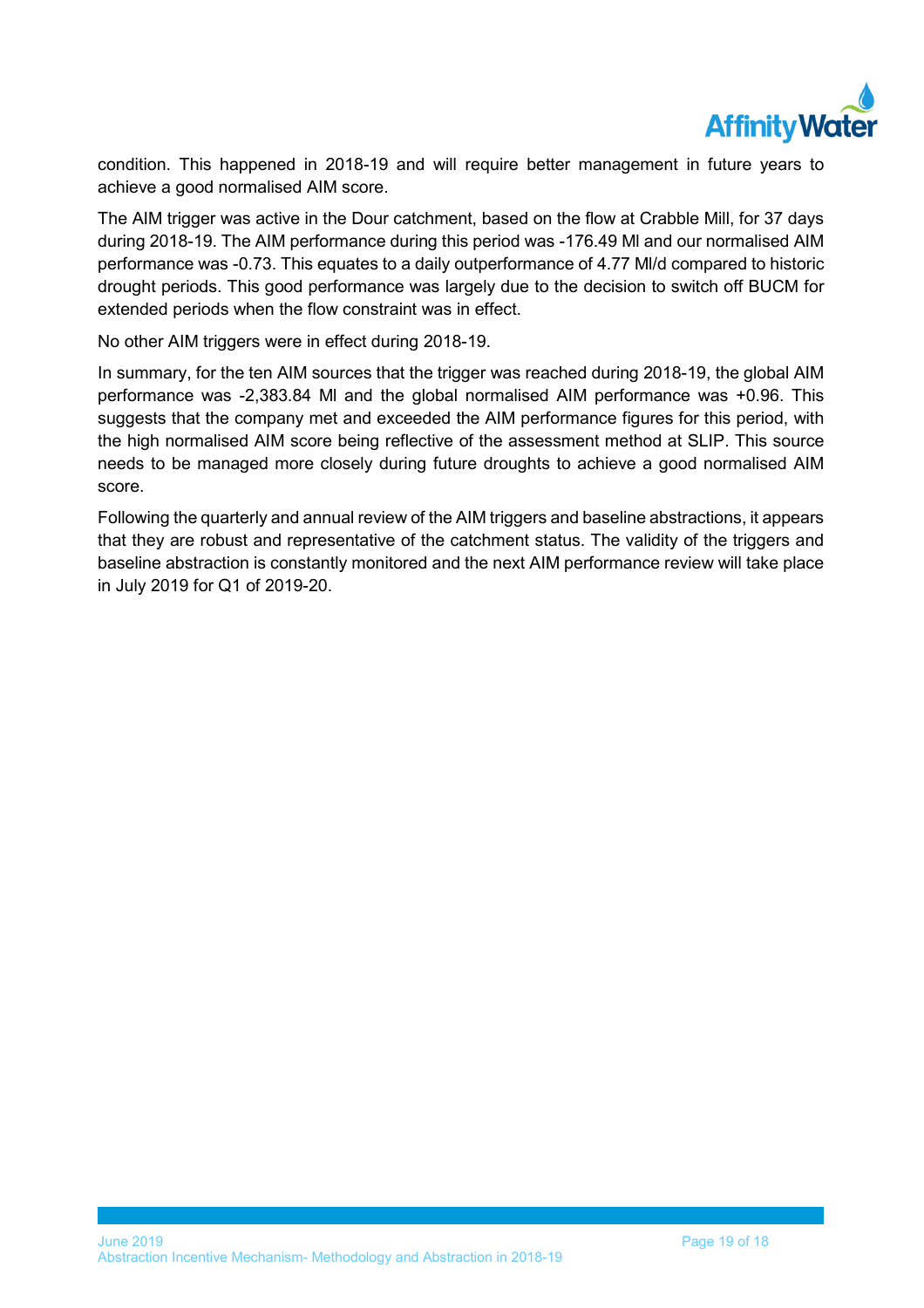

condition. This happened in 2018-19 and will require better management in future years to achieve a good normalised AIM score.

The AIM trigger was active in the Dour catchment, based on the flow at Crabble Mill, for 37 days during 2018-19. The AIM performance during this period was -176.49 Ml and our normalised AIM performance was -0.73. This equates to a daily outperformance of 4.77 Ml/d compared to historic drought periods. This good performance was largely due to the decision to switch off BUCM for extended periods when the flow constraint was in effect.

No other AIM triggers were in effect during 2018-19.

In summary, for the ten AIM sources that the trigger was reached during 2018-19, the global AIM performance was -2,383.84 Ml and the global normalised AIM performance was +0.96. This suggests that the company met and exceeded the AIM performance figures for this period, with the high normalised AIM score being reflective of the assessment method at SLIP. This source needs to be managed more closely during future droughts to achieve a good normalised AIM score.

Following the quarterly and annual review of the AIM triggers and baseline abstractions, it appears that they are robust and representative of the catchment status. The validity of the triggers and baseline abstraction is constantly monitored and the next AIM performance review will take place in July 2019 for Q1 of 2019-20.